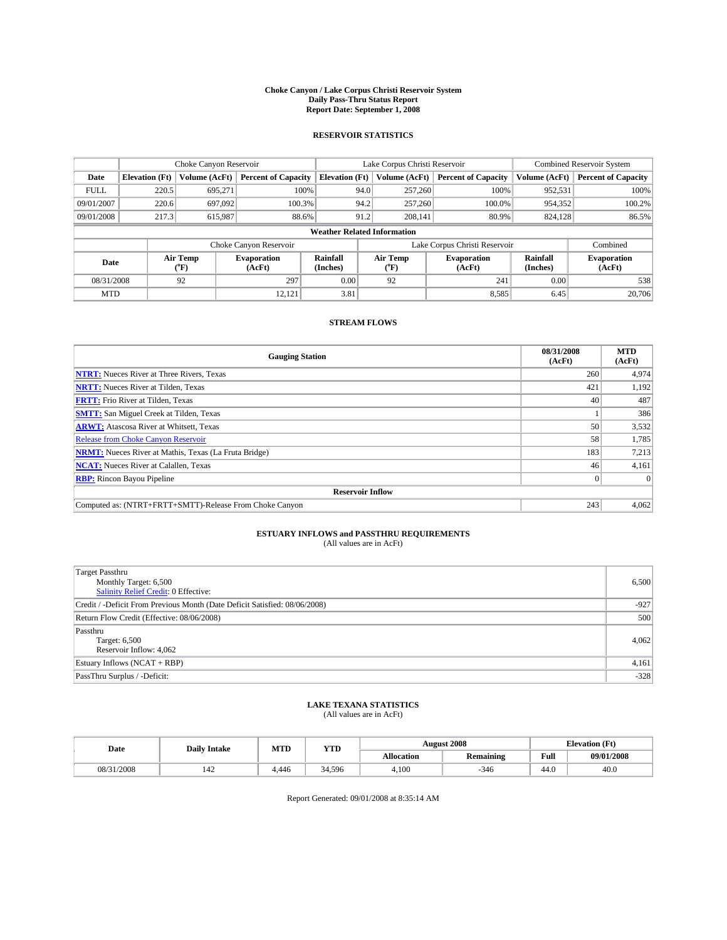#### **Choke Canyon / Lake Corpus Christi Reservoir System Daily Pass-Thru Status Report Report Date: September 1, 2008**

### **RESERVOIR STATISTICS**

|             |                                    | Choke Canyon Reservoir |                              |                       |      | Lake Corpus Christi Reservoir | <b>Combined Reservoir System</b> |                      |                              |  |
|-------------|------------------------------------|------------------------|------------------------------|-----------------------|------|-------------------------------|----------------------------------|----------------------|------------------------------|--|
| Date        | <b>Elevation</b> (Ft)              | Volume (AcFt)          | <b>Percent of Capacity</b>   | <b>Elevation</b> (Ft) |      | Volume (AcFt)                 | <b>Percent of Capacity</b>       | Volume (AcFt)        | <b>Percent of Capacity</b>   |  |
| <b>FULL</b> | 220.5                              | 695,271                | 100%                         |                       | 94.0 | 257,260                       | 100%                             | 952,531              | 100%                         |  |
| 09/01/2007  | 220.6                              | 697.092                | 100.3%                       |                       | 94.2 | 257,260                       | 100.0%                           | 954,352              | 100.2%                       |  |
| 09/01/2008  | 217.3                              | 615,987                | 88.6%                        |                       | 91.2 | 208,141                       | 80.9%                            | 824,128              | 86.5%                        |  |
|             | <b>Weather Related Information</b> |                        |                              |                       |      |                               |                                  |                      |                              |  |
|             |                                    |                        | Choke Canyon Reservoir       |                       |      |                               | Lake Corpus Christi Reservoir    |                      | Combined                     |  |
| Date        |                                    | Air Temp<br>(°F)       | <b>Evaporation</b><br>(AcFt) | Rainfall<br>(Inches)  |      | Air Temp<br>("F)              | <b>Evaporation</b><br>(AcFt)     | Rainfall<br>(Inches) | <b>Evaporation</b><br>(AcFt) |  |
| 08/31/2008  |                                    | 92                     | 297                          | 0.00                  |      | 92                            | 241                              | 0.00                 | 538                          |  |
| <b>MTD</b>  |                                    |                        | 12,121                       | 3.81                  |      |                               | 8,585                            | 6.45                 | 20,706                       |  |

### **STREAM FLOWS**

| <b>Gauging Station</b>                                       | 08/31/2008<br>(AcFt) | <b>MTD</b><br>(AcFt) |  |  |  |  |  |
|--------------------------------------------------------------|----------------------|----------------------|--|--|--|--|--|
| <b>NTRT:</b> Nueces River at Three Rivers, Texas             | 260                  | 4,974                |  |  |  |  |  |
| <b>NRTT:</b> Nueces River at Tilden, Texas                   | 421                  | 1,192                |  |  |  |  |  |
| <b>FRTT:</b> Frio River at Tilden, Texas                     | 40                   | 487                  |  |  |  |  |  |
| <b>SMTT:</b> San Miguel Creek at Tilden, Texas               |                      | 386                  |  |  |  |  |  |
| <b>ARWT:</b> Atascosa River at Whitsett, Texas               | 50                   | 3,532                |  |  |  |  |  |
| <b>Release from Choke Canyon Reservoir</b>                   | 58                   | 1,785                |  |  |  |  |  |
| <b>NRMT:</b> Nueces River at Mathis, Texas (La Fruta Bridge) | 183                  | 7,213                |  |  |  |  |  |
| <b>NCAT:</b> Nueces River at Calallen, Texas                 | 46                   | 4,161                |  |  |  |  |  |
| <b>RBP:</b> Rincon Bayou Pipeline                            | $\overline{0}$       |                      |  |  |  |  |  |
| <b>Reservoir Inflow</b>                                      |                      |                      |  |  |  |  |  |
| Computed as: (NTRT+FRTT+SMTT)-Release From Choke Canyon      | 243                  | 4,062                |  |  |  |  |  |

## **ESTUARY INFLOWS and PASSTHRU REQUIREMENTS**

| (All values are in AcFt) |  |  |
|--------------------------|--|--|
|--------------------------|--|--|

| <b>Target Passthru</b><br>Monthly Target: 6,500<br>Salinity Relief Credit: 0 Effective: | 6,500  |
|-----------------------------------------------------------------------------------------|--------|
| Credit / -Deficit From Previous Month (Date Deficit Satisfied: 08/06/2008)              | $-927$ |
| Return Flow Credit (Effective: 08/06/2008)                                              | 500    |
| Passthru<br>Target: 6,500<br>Reservoir Inflow: 4,062                                    | 4,062  |
| Estuary Inflows (NCAT + RBP)                                                            | 4,161  |
| PassThru Surplus / -Deficit:                                                            | $-328$ |

## **LAKE TEXANA STATISTICS** (All values are in AcFt)

| Date       | <b>Daily Intake</b> | MTD   | YTD    |            | <b>August 2008</b> | <b>Elevation</b> (Ft) |            |
|------------|---------------------|-------|--------|------------|--------------------|-----------------------|------------|
|            |                     |       |        | Allocation | <b>Remaining</b>   | Full                  | 09/01/2008 |
| 08/31/2008 | 142                 | 4.446 | 34.596 | 4.100      | -346               | 44.0                  | 40.0       |

Report Generated: 09/01/2008 at 8:35:14 AM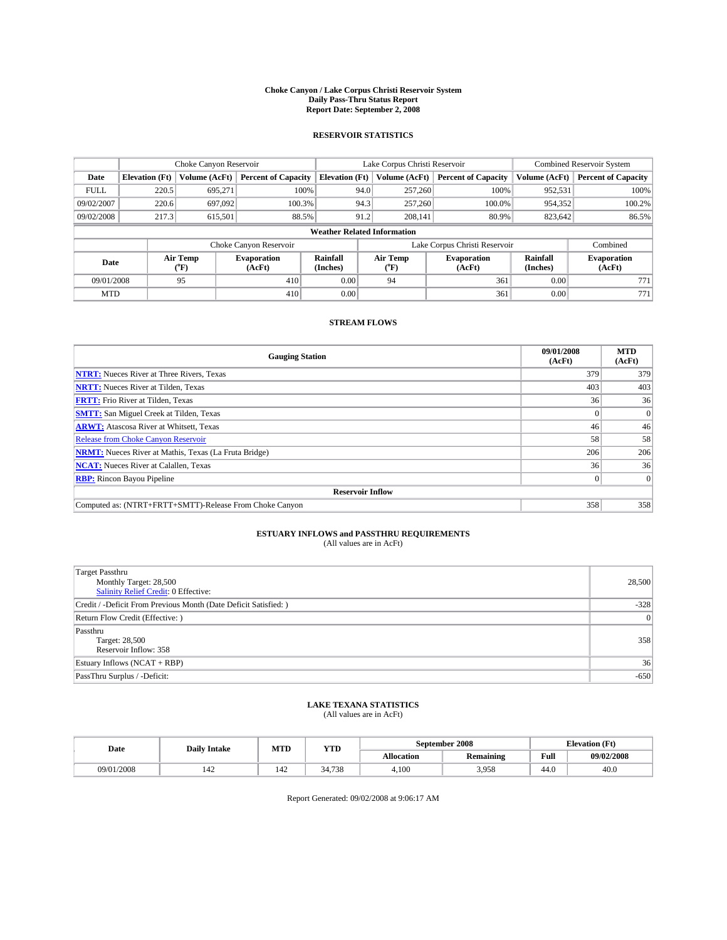#### **Choke Canyon / Lake Corpus Christi Reservoir System Daily Pass-Thru Status Report Report Date: September 2, 2008**

### **RESERVOIR STATISTICS**

|             |                                    | Choke Canyon Reservoir |                            |                       |      | Lake Corpus Christi Reservoir | <b>Combined Reservoir System</b> |                      |                              |  |
|-------------|------------------------------------|------------------------|----------------------------|-----------------------|------|-------------------------------|----------------------------------|----------------------|------------------------------|--|
| Date        | <b>Elevation</b> (Ft)              | Volume (AcFt)          | <b>Percent of Capacity</b> | <b>Elevation</b> (Ft) |      | Volume (AcFt)                 | <b>Percent of Capacity</b>       | Volume (AcFt)        | <b>Percent of Capacity</b>   |  |
| <b>FULL</b> | 220.5                              | 695,271                | 100%                       |                       | 94.0 | 257,260                       | 100%                             | 952,531              | 100%                         |  |
| 09/02/2007  | 220.6                              | 697.092                | 100.3%                     |                       | 94.3 | 257,260                       | 100.0%                           | 954,352              | 100.2%                       |  |
| 09/02/2008  | 217.3                              | 615.501                | 88.5%                      |                       | 91.2 | 208.141                       | 80.9%                            | 823,642              | 86.5%                        |  |
|             | <b>Weather Related Information</b> |                        |                            |                       |      |                               |                                  |                      |                              |  |
|             |                                    |                        | Choke Canyon Reservoir     |                       |      |                               | Lake Corpus Christi Reservoir    |                      | Combined                     |  |
| Date        |                                    | Air Temp<br>(°F)       | Evaporation<br>(AcFt)      | Rainfall<br>(Inches)  |      | Air Temp<br>("F)              | <b>Evaporation</b><br>(AcFt)     | Rainfall<br>(Inches) | <b>Evaporation</b><br>(AcFt) |  |
| 09/01/2008  |                                    | 95                     | 410                        | 0.00                  |      | 94                            | 361                              | 0.00                 | 771                          |  |
| <b>MTD</b>  |                                    |                        | 410                        | 0.00                  |      |                               | 361                              | 0.00                 | 771                          |  |

### **STREAM FLOWS**

| <b>Gauging Station</b>                                       | 09/01/2008<br>(AcFt) | <b>MTD</b><br>(AcFt) |  |  |  |  |  |
|--------------------------------------------------------------|----------------------|----------------------|--|--|--|--|--|
| <b>NTRT:</b> Nueces River at Three Rivers, Texas             | 379                  | 379                  |  |  |  |  |  |
| <b>NRTT:</b> Nueces River at Tilden, Texas                   | 403                  | 403                  |  |  |  |  |  |
| <b>FRTT:</b> Frio River at Tilden, Texas                     | 36                   | 36                   |  |  |  |  |  |
| <b>SMTT:</b> San Miguel Creek at Tilden, Texas               |                      | $\Omega$             |  |  |  |  |  |
| <b>ARWT:</b> Atascosa River at Whitsett, Texas               | 46                   | 46                   |  |  |  |  |  |
| <b>Release from Choke Canyon Reservoir</b>                   | 58                   | 58                   |  |  |  |  |  |
| <b>NRMT:</b> Nueces River at Mathis, Texas (La Fruta Bridge) | 206                  | 206                  |  |  |  |  |  |
| <b>NCAT:</b> Nueces River at Calallen, Texas                 | 36                   | 36                   |  |  |  |  |  |
| <b>RBP:</b> Rincon Bayou Pipeline                            | $\vert 0 \vert$      | $\Omega$             |  |  |  |  |  |
| <b>Reservoir Inflow</b>                                      |                      |                      |  |  |  |  |  |
| Computed as: (NTRT+FRTT+SMTT)-Release From Choke Canyon      | 358                  | 358                  |  |  |  |  |  |

# **ESTUARY INFLOWS and PASSTHRU REQUIREMENTS**<br>(All values are in AcFt)

| Target Passthru<br>Monthly Target: 28,500<br><b>Salinity Relief Credit: 0 Effective:</b> | 28,500 |
|------------------------------------------------------------------------------------------|--------|
| Credit / -Deficit From Previous Month (Date Deficit Satisfied: )                         | $-328$ |
| Return Flow Credit (Effective: )                                                         | 0      |
| Passthru<br>Target: 28,500<br>Reservoir Inflow: 358                                      | 358    |
| Estuary Inflows $(NCAT + RBP)$                                                           | 36     |
| PassThru Surplus / -Deficit:                                                             | $-650$ |

## **LAKE TEXANA STATISTICS** (All values are in AcFt)

| Date       | <b>Daily Intake</b> | MTD | YTD    |                   | September 2008   | <b>Elevation</b> (Ft) |            |
|------------|---------------------|-----|--------|-------------------|------------------|-----------------------|------------|
|            |                     |     |        | <b>Allocation</b> | <b>Remaining</b> | Full                  | 09/02/2008 |
| 09/01/2008 | 142                 | 142 | 34.738 | 4.100             | 3.958            | 44.0                  | 40.0       |

Report Generated: 09/02/2008 at 9:06:17 AM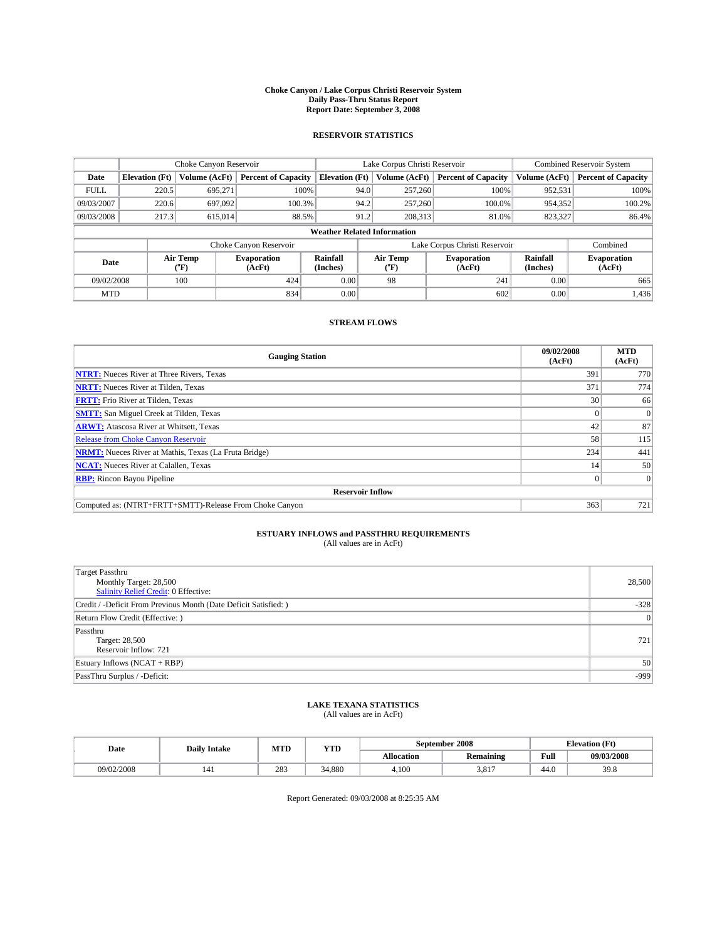#### **Choke Canyon / Lake Corpus Christi Reservoir System Daily Pass-Thru Status Report Report Date: September 3, 2008**

### **RESERVOIR STATISTICS**

|             |                                    | Choke Canyon Reservoir |                              |                       |      | Lake Corpus Christi Reservoir | <b>Combined Reservoir System</b> |                      |                              |  |
|-------------|------------------------------------|------------------------|------------------------------|-----------------------|------|-------------------------------|----------------------------------|----------------------|------------------------------|--|
| Date        | <b>Elevation</b> (Ft)              | Volume (AcFt)          | <b>Percent of Capacity</b>   | <b>Elevation</b> (Ft) |      | Volume (AcFt)                 | <b>Percent of Capacity</b>       | Volume (AcFt)        | <b>Percent of Capacity</b>   |  |
| <b>FULL</b> | 220.5                              | 695,271                |                              | 100%                  | 94.0 | 257,260                       | 100%                             | 952,531              | 100%                         |  |
| 09/03/2007  | 220.6                              | 697.092                | 100.3%                       |                       | 94.2 | 257,260                       | 100.0%                           | 954,352              | 100.2%                       |  |
| 09/03/2008  | 217.3                              | 615,014                | 88.5%                        |                       | 91.2 | 208,313                       | 81.0%                            | 823,327              | 86.4%                        |  |
|             | <b>Weather Related Information</b> |                        |                              |                       |      |                               |                                  |                      |                              |  |
|             |                                    |                        | Choke Canyon Reservoir       |                       |      |                               | Lake Corpus Christi Reservoir    |                      | Combined                     |  |
| Date        |                                    | Air Temp<br>(°F)       | <b>Evaporation</b><br>(AcFt) | Rainfall<br>(Inches)  |      | Air Temp<br>("F)              | <b>Evaporation</b><br>(AcFt)     | Rainfall<br>(Inches) | <b>Evaporation</b><br>(AcFt) |  |
| 09/02/2008  |                                    | 100                    | 424                          | 0.00                  |      | 98                            | 241                              | 0.00                 | 665                          |  |
| <b>MTD</b>  |                                    |                        | 834                          | 0.00                  |      |                               | 602                              | 0.00                 | 1,436                        |  |

### **STREAM FLOWS**

| <b>Gauging Station</b>                                       | 09/02/2008<br>(AcFt) | <b>MTD</b><br>(AcFt) |  |  |  |  |  |
|--------------------------------------------------------------|----------------------|----------------------|--|--|--|--|--|
| <b>NTRT:</b> Nueces River at Three Rivers, Texas             | 391                  | 770                  |  |  |  |  |  |
| <b>NRTT:</b> Nueces River at Tilden, Texas                   | 371                  | 774                  |  |  |  |  |  |
| <b>FRTT:</b> Frio River at Tilden, Texas                     | 30                   | 66                   |  |  |  |  |  |
| <b>SMTT:</b> San Miguel Creek at Tilden, Texas               |                      | $\overline{0}$       |  |  |  |  |  |
| <b>ARWT:</b> Atascosa River at Whitsett, Texas               | 42                   | 87                   |  |  |  |  |  |
| <b>Release from Choke Canyon Reservoir</b>                   | 58                   | 115                  |  |  |  |  |  |
| <b>NRMT:</b> Nueces River at Mathis, Texas (La Fruta Bridge) | 234                  | 441                  |  |  |  |  |  |
| <b>NCAT:</b> Nueces River at Calallen, Texas                 | 14                   | 50                   |  |  |  |  |  |
| <b>RBP:</b> Rincon Bayou Pipeline                            |                      | $\Omega$             |  |  |  |  |  |
| <b>Reservoir Inflow</b>                                      |                      |                      |  |  |  |  |  |
| Computed as: (NTRT+FRTT+SMTT)-Release From Choke Canyon      | 363                  | 721                  |  |  |  |  |  |

# **ESTUARY INFLOWS and PASSTHRU REQUIREMENTS**<br>(All values are in AcFt)

| <b>Target Passthru</b><br>Monthly Target: 28,500<br>Salinity Relief Credit: 0 Effective: | 28,500 |
|------------------------------------------------------------------------------------------|--------|
| Credit / -Deficit From Previous Month (Date Deficit Satisfied: )                         | $-328$ |
| Return Flow Credit (Effective:)                                                          | 0      |
| Passthru<br>Target: 28,500<br>Reservoir Inflow: 721                                      | 721    |
| Estuary Inflows (NCAT + RBP)                                                             | 50     |
| PassThru Surplus / -Deficit:                                                             | $-999$ |

## **LAKE TEXANA STATISTICS** (All values are in AcFt)

| Date       | <b>Daily Intake</b> | MTI | YTD    |                   | September 2008   | <b>Elevation</b> (Ft) |            |
|------------|---------------------|-----|--------|-------------------|------------------|-----------------------|------------|
|            |                     |     |        | <b>Allocation</b> | <b>Remaining</b> | Full                  | 09/03/2008 |
| 09/02/2008 | $1 - 1$             | 283 | 34,880 | 4.100             | 3.817            | 44.0                  | 39.8       |

Report Generated: 09/03/2008 at 8:25:35 AM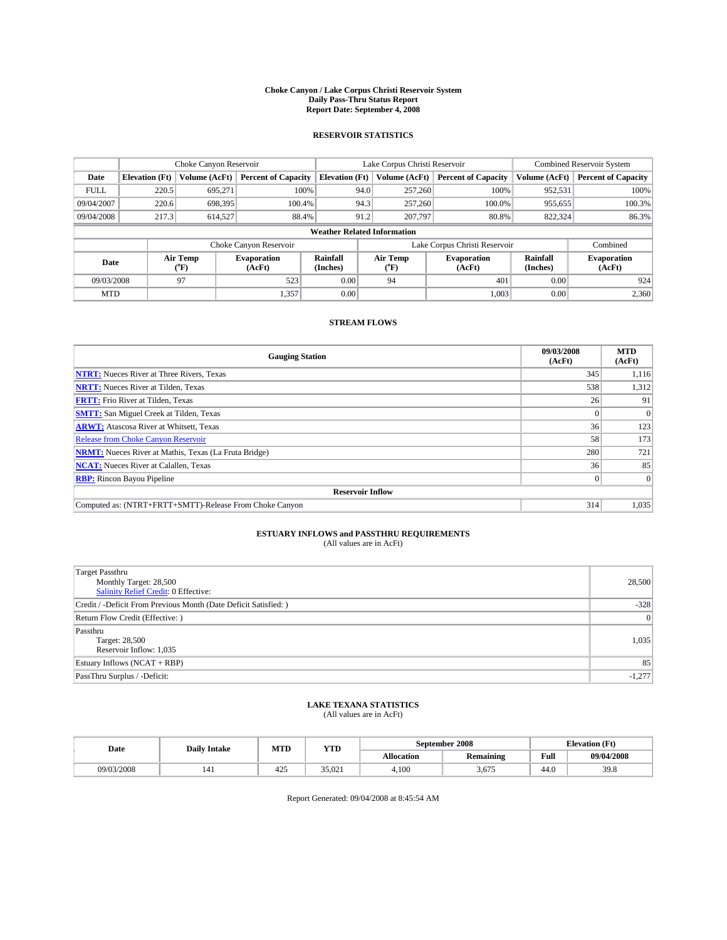#### **Choke Canyon / Lake Corpus Christi Reservoir System Daily Pass-Thru Status Report Report Date: September 4, 2008**

### **RESERVOIR STATISTICS**

|             | Choke Canyon Reservoir             |                  | Lake Corpus Christi Reservoir |                       |                               |                  | <b>Combined Reservoir System</b> |                      |                              |  |
|-------------|------------------------------------|------------------|-------------------------------|-----------------------|-------------------------------|------------------|----------------------------------|----------------------|------------------------------|--|
| Date        | <b>Elevation</b> (Ft)              | Volume (AcFt)    | <b>Percent of Capacity</b>    | <b>Elevation</b> (Ft) |                               | Volume (AcFt)    | <b>Percent of Capacity</b>       | Volume (AcFt)        | <b>Percent of Capacity</b>   |  |
| <b>FULL</b> | 220.5                              | 695,271          | 100%                          |                       | 94.0                          | 257,260          | 100%                             | 952,531              | 100%                         |  |
| 09/04/2007  | 220.6                              | 698,395          | 100.4%                        |                       | 94.3                          | 257,260          | 100.0%                           | 955,655              | 100.3%                       |  |
| 09/04/2008  | 217.3                              | 614,527          | 88.4%                         |                       | 91.2                          | 207,797          | 80.8%                            | 822,324              | 86.3%                        |  |
|             | <b>Weather Related Information</b> |                  |                               |                       |                               |                  |                                  |                      |                              |  |
|             |                                    |                  | Choke Canyon Reservoir        |                       | Lake Corpus Christi Reservoir |                  |                                  |                      | Combined                     |  |
| Date        |                                    | Air Temp<br>(°F) | <b>Evaporation</b><br>(AcFt)  | Rainfall<br>(Inches)  |                               | Air Temp<br>("F) | <b>Evaporation</b><br>(AcFt)     | Rainfall<br>(Inches) | <b>Evaporation</b><br>(AcFt) |  |
| 09/03/2008  |                                    | 97               | 523                           | 0.00                  |                               | 94               | 401                              | 0.00                 | 924                          |  |
| <b>MTD</b>  |                                    |                  | 1,357                         | 0.00                  |                               |                  | 1,003                            | 0.00                 | 2,360                        |  |

### **STREAM FLOWS**

| <b>Gauging Station</b>                                       | 09/03/2008<br>(AcFt) | <b>MTD</b><br>(AcFt) |  |  |  |  |  |
|--------------------------------------------------------------|----------------------|----------------------|--|--|--|--|--|
| <b>NTRT:</b> Nueces River at Three Rivers, Texas             | 345                  | 1,116                |  |  |  |  |  |
| <b>NRTT:</b> Nueces River at Tilden, Texas                   | 538                  | 1,312                |  |  |  |  |  |
| <b>FRTT:</b> Frio River at Tilden, Texas                     | 26                   | 91                   |  |  |  |  |  |
| <b>SMTT:</b> San Miguel Creek at Tilden, Texas               |                      |                      |  |  |  |  |  |
| <b>ARWT:</b> Atascosa River at Whitsett, Texas               | 36                   | 123                  |  |  |  |  |  |
| <b>Release from Choke Canyon Reservoir</b>                   | 58                   | 173                  |  |  |  |  |  |
| <b>NRMT:</b> Nueces River at Mathis, Texas (La Fruta Bridge) | 280                  | 721                  |  |  |  |  |  |
| <b>NCAT:</b> Nueces River at Calallen, Texas                 | 36                   | 85                   |  |  |  |  |  |
| <b>RBP:</b> Rincon Bayou Pipeline                            | $\theta$             |                      |  |  |  |  |  |
| <b>Reservoir Inflow</b>                                      |                      |                      |  |  |  |  |  |
| Computed as: (NTRT+FRTT+SMTT)-Release From Choke Canyon      | 314                  | 1,035                |  |  |  |  |  |

# **ESTUARY INFLOWS and PASSTHRU REQUIREMENTS**<br>(All values are in AcFt)

| Target Passthru<br>Monthly Target: 28,500<br><b>Salinity Relief Credit: 0 Effective:</b> | 28,500   |
|------------------------------------------------------------------------------------------|----------|
| Credit / -Deficit From Previous Month (Date Deficit Satisfied: )                         | $-328$   |
| Return Flow Credit (Effective: )                                                         | 0        |
| Passthru<br>Target: 28,500<br>Reservoir Inflow: 1,035                                    | 1,035    |
| Estuary Inflows (NCAT + RBP)                                                             | 85       |
| PassThru Surplus / -Deficit:                                                             | $-1,277$ |

## **LAKE TEXANA STATISTICS** (All values are in AcFt)

| Date       | <b>Daily Intake</b> | MTI | YTD    |                   | September 2008   | <b>Elevation</b> (Ft) |            |
|------------|---------------------|-----|--------|-------------------|------------------|-----------------------|------------|
|            |                     |     |        | <b>Allocation</b> | <b>Remaining</b> | Full                  | 09/04/2008 |
| 09/03/2008 | $1 - 1$             | 425 | 35.021 | 4.100             | 3.675            | 44.0                  | 39.8       |

Report Generated: 09/04/2008 at 8:45:54 AM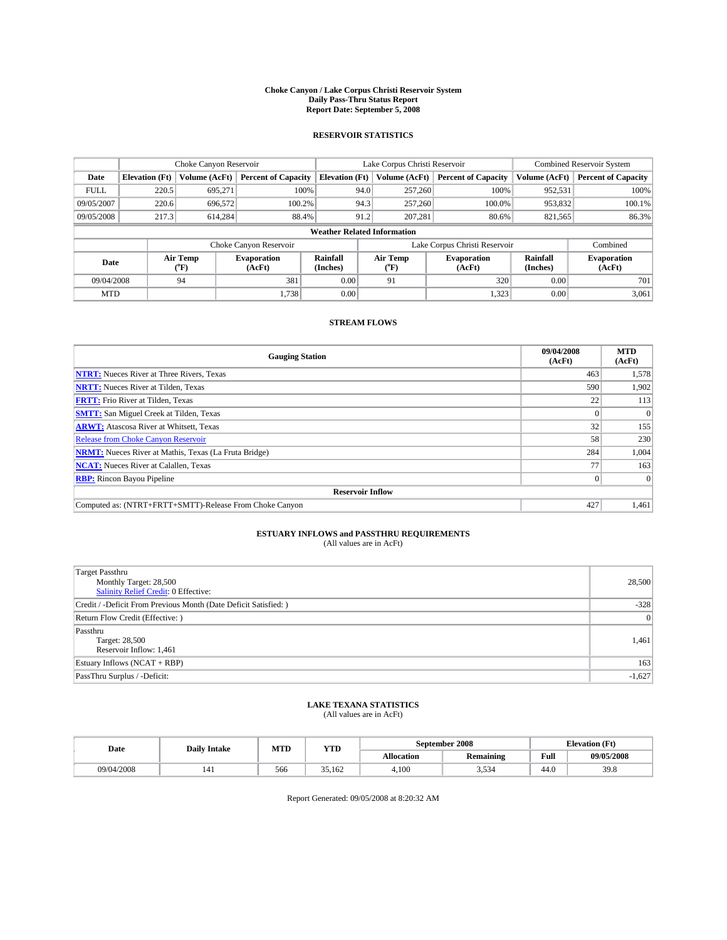#### **Choke Canyon / Lake Corpus Christi Reservoir System Daily Pass-Thru Status Report Report Date: September 5, 2008**

### **RESERVOIR STATISTICS**

|             |                                    |                  | Lake Corpus Christi Reservoir |                       |                               |                  | <b>Combined Reservoir System</b> |                      |                              |  |
|-------------|------------------------------------|------------------|-------------------------------|-----------------------|-------------------------------|------------------|----------------------------------|----------------------|------------------------------|--|
| Date        | <b>Elevation</b> (Ft)              | Volume (AcFt)    | <b>Percent of Capacity</b>    | <b>Elevation</b> (Ft) |                               | Volume (AcFt)    | <b>Percent of Capacity</b>       | Volume (AcFt)        | <b>Percent of Capacity</b>   |  |
| <b>FULL</b> | 220.5                              | 695,271          |                               | 100%                  | 94.0                          | 257,260          | 100%                             | 952,531              | 100%                         |  |
| 09/05/2007  | 220.6                              | 696,572          | 100.2%                        |                       | 94.3                          | 257,260          | 100.0%                           | 953,832              | 100.1%                       |  |
| 09/05/2008  | 217.3                              | 614.284          | 88.4%                         |                       | 91.2                          | 207,281          | 80.6%                            | 821,565              | 86.3%                        |  |
|             | <b>Weather Related Information</b> |                  |                               |                       |                               |                  |                                  |                      |                              |  |
|             |                                    |                  | Choke Canyon Reservoir        |                       | Lake Corpus Christi Reservoir |                  |                                  |                      | Combined                     |  |
| Date        |                                    | Air Temp<br>(°F) | <b>Evaporation</b><br>(AcFt)  | Rainfall<br>(Inches)  |                               | Air Temp<br>("F) | <b>Evaporation</b><br>(AcFt)     | Rainfall<br>(Inches) | <b>Evaporation</b><br>(AcFt) |  |
| 09/04/2008  |                                    | 94               | 381                           | 0.00                  |                               | 91               | 320                              | 0.00                 | 701                          |  |
| <b>MTD</b>  |                                    |                  | 1,738                         | 0.00                  |                               |                  | 1,323                            | 0.00                 | 3,061                        |  |

### **STREAM FLOWS**

| <b>Gauging Station</b>                                       | 09/04/2008<br>(AcFt) | <b>MTD</b><br>(AcFt) |
|--------------------------------------------------------------|----------------------|----------------------|
| <b>NTRT:</b> Nueces River at Three Rivers, Texas             | 463                  | 1,578                |
| <b>NRTT:</b> Nueces River at Tilden, Texas                   | 590                  | 1,902                |
| <b>FRTT:</b> Frio River at Tilden, Texas                     | 22                   | 113                  |
| <b>SMTT:</b> San Miguel Creek at Tilden, Texas               |                      |                      |
| <b>ARWT:</b> Atascosa River at Whitsett, Texas               | 32                   | 155                  |
| <b>Release from Choke Canyon Reservoir</b>                   | 58                   | 230                  |
| <b>NRMT:</b> Nueces River at Mathis, Texas (La Fruta Bridge) | 284                  | 1,004                |
| <b>NCAT:</b> Nueces River at Calallen, Texas                 | 77                   | 163                  |
| <b>RBP:</b> Rincon Bayou Pipeline                            | $\vert 0 \vert$      |                      |
| <b>Reservoir Inflow</b>                                      |                      |                      |
| Computed as: (NTRT+FRTT+SMTT)-Release From Choke Canyon      | 427                  | 1,461                |

# **ESTUARY INFLOWS and PASSTHRU REQUIREMENTS**<br>(All values are in AcFt)

| <b>Target Passthru</b><br>Monthly Target: 28,500<br>Salinity Relief Credit: 0 Effective: | 28,500   |
|------------------------------------------------------------------------------------------|----------|
| Credit / -Deficit From Previous Month (Date Deficit Satisfied: )                         | $-328$   |
| Return Flow Credit (Effective: )                                                         | 0        |
| Passthru<br>Target: 28,500<br>Reservoir Inflow: 1,461                                    | 1,461    |
| Estuary Inflows (NCAT + RBP)                                                             | 163      |
| PassThru Surplus / -Deficit:                                                             | $-1,627$ |

## **LAKE TEXANA STATISTICS** (All values are in AcFt)

| Date       | <b>Daily Intake</b> | MTI | YTD    |            | September 2008      | <b>Elevation</b> (Ft) |            |
|------------|---------------------|-----|--------|------------|---------------------|-----------------------|------------|
|            |                     |     |        | Allocation | <b>Remaining</b>    | Full                  | 09/05/2008 |
| 09/04/2008 |                     | 566 | 35.162 | 4.100      | $-$<br>534<br>ر ر.ر | 44.0                  | 39.8       |

Report Generated: 09/05/2008 at 8:20:32 AM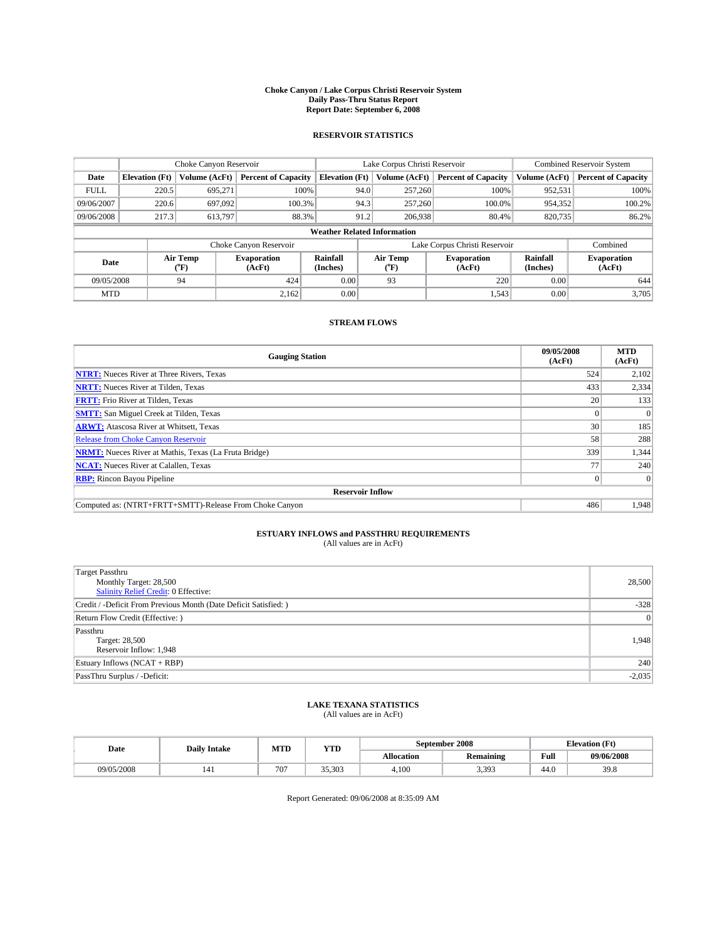#### **Choke Canyon / Lake Corpus Christi Reservoir System Daily Pass-Thru Status Report Report Date: September 6, 2008**

### **RESERVOIR STATISTICS**

|             | Choke Canyon Reservoir             |                  |                              | Lake Corpus Christi Reservoir |                               | <b>Combined Reservoir System</b> |                              |                      |                              |  |
|-------------|------------------------------------|------------------|------------------------------|-------------------------------|-------------------------------|----------------------------------|------------------------------|----------------------|------------------------------|--|
| Date        | <b>Elevation</b> (Ft)              | Volume (AcFt)    | <b>Percent of Capacity</b>   | <b>Elevation</b> (Ft)         |                               | Volume (AcFt)                    | <b>Percent of Capacity</b>   | Volume (AcFt)        | <b>Percent of Capacity</b>   |  |
| <b>FULL</b> | 220.5                              | 695,271          | 100%                         |                               | 94.0                          | 257,260                          | 100%                         | 952,531              | 100%                         |  |
| 09/06/2007  | 220.6                              | 697.092          | 100.3%                       |                               | 94.3                          | 257,260                          | 100.0%                       | 954,352              | 100.2%                       |  |
| 09/06/2008  | 217.3                              | 613,797          | 88.3%                        |                               | 91.2<br>206,938<br>80.4%      |                                  | 820,735                      | 86.2%                |                              |  |
|             | <b>Weather Related Information</b> |                  |                              |                               |                               |                                  |                              |                      |                              |  |
|             |                                    |                  | Choke Canyon Reservoir       |                               | Lake Corpus Christi Reservoir |                                  |                              |                      | Combined                     |  |
| Date        |                                    | Air Temp<br>(°F) | <b>Evaporation</b><br>(AcFt) | Rainfall<br>(Inches)          |                               | Air Temp<br>("F)                 | <b>Evaporation</b><br>(AcFt) | Rainfall<br>(Inches) | <b>Evaporation</b><br>(AcFt) |  |
| 09/05/2008  |                                    | 94               | 424                          | 0.00                          |                               | 93                               | 220                          | 0.00                 | 644                          |  |
| <b>MTD</b>  |                                    |                  | 2,162                        | 0.00                          |                               |                                  | 1,543                        | 0.00                 | 3,705                        |  |

### **STREAM FLOWS**

| <b>Gauging Station</b>                                       | 09/05/2008<br>(AcFt) | <b>MTD</b><br>(AcFt) |  |  |  |  |  |
|--------------------------------------------------------------|----------------------|----------------------|--|--|--|--|--|
| <b>NTRT:</b> Nueces River at Three Rivers, Texas             | 524                  | 2,102                |  |  |  |  |  |
| <b>NRTT:</b> Nueces River at Tilden, Texas                   | 433                  | 2,334                |  |  |  |  |  |
| <b>FRTT:</b> Frio River at Tilden, Texas                     | 20 <sub>1</sub>      | 133                  |  |  |  |  |  |
| <b>SMTT:</b> San Miguel Creek at Tilden, Texas               |                      |                      |  |  |  |  |  |
| <b>ARWT:</b> Atascosa River at Whitsett, Texas               | 30                   | 185                  |  |  |  |  |  |
| <b>Release from Choke Canyon Reservoir</b>                   | 58                   | 288                  |  |  |  |  |  |
| <b>NRMT:</b> Nueces River at Mathis, Texas (La Fruta Bridge) | 339                  | 1,344                |  |  |  |  |  |
| <b>NCAT:</b> Nueces River at Calallen, Texas                 | 77                   | 240                  |  |  |  |  |  |
| <b>RBP:</b> Rincon Bayou Pipeline                            | $\vert 0 \vert$      |                      |  |  |  |  |  |
| <b>Reservoir Inflow</b>                                      |                      |                      |  |  |  |  |  |
| Computed as: (NTRT+FRTT+SMTT)-Release From Choke Canyon      | 486                  | 1,948                |  |  |  |  |  |

# **ESTUARY INFLOWS and PASSTHRU REQUIREMENTS**<br>(All values are in AcFt)

| Target Passthru<br>Monthly Target: 28,500<br><b>Salinity Relief Credit: 0 Effective:</b> | 28,500   |
|------------------------------------------------------------------------------------------|----------|
| Credit / -Deficit From Previous Month (Date Deficit Satisfied: )                         | $-328$   |
| Return Flow Credit (Effective: )                                                         | 0        |
| Passthru<br>Target: 28,500<br>Reservoir Inflow: 1,948                                    | 1,948    |
| Estuary Inflows (NCAT + RBP)                                                             | 240      |
| PassThru Surplus / -Deficit:                                                             | $-2,035$ |

## **LAKE TEXANA STATISTICS** (All values are in AcFt)

| Date       | <b>Daily Intake</b> | September 2008<br><b>YTD</b><br>MTD |        |            |                  |                                             | <b>Elevation</b> (Ft) |
|------------|---------------------|-------------------------------------|--------|------------|------------------|---------------------------------------------|-----------------------|
|            |                     |                                     |        | Allocation | <b>Remaining</b> | Full<br>the contract of the contract of the | 09/06/2008            |
| 09/05/2008 | 141                 | 707                                 | 35.303 | 4.100      | 3.393            | 44.0                                        | 39.8                  |

Report Generated: 09/06/2008 at 8:35:09 AM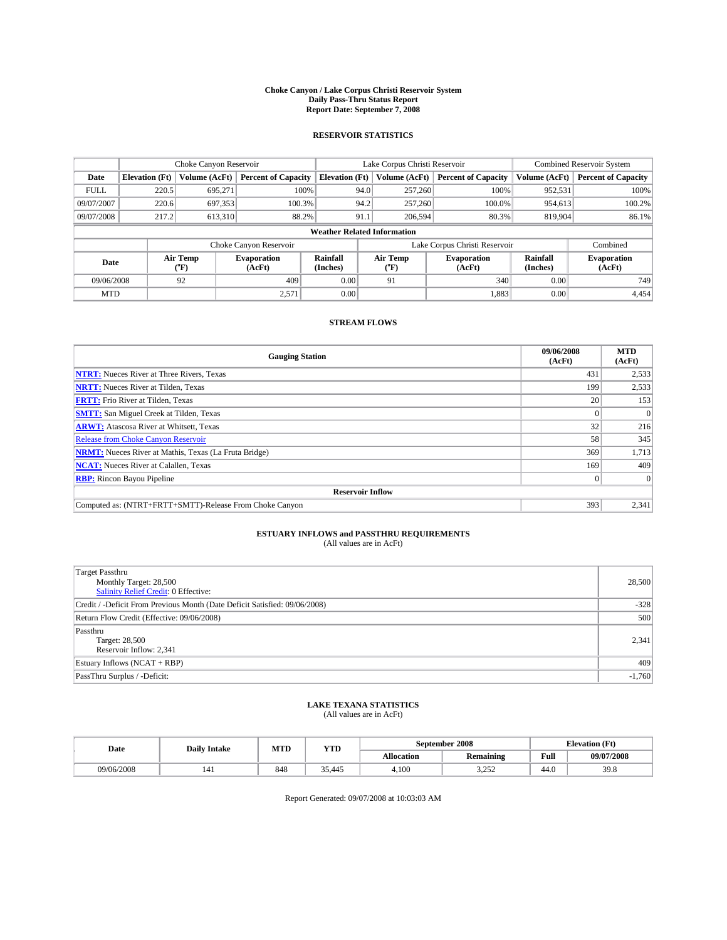#### **Choke Canyon / Lake Corpus Christi Reservoir System Daily Pass-Thru Status Report Report Date: September 7, 2008**

### **RESERVOIR STATISTICS**

|             | Choke Canyon Reservoir             |                             | Lake Corpus Christi Reservoir |                       |                               |               | <b>Combined Reservoir System</b> |                      |                              |
|-------------|------------------------------------|-----------------------------|-------------------------------|-----------------------|-------------------------------|---------------|----------------------------------|----------------------|------------------------------|
| Date        | <b>Elevation</b> (Ft)              | Volume (AcFt)               | <b>Percent of Capacity</b>    | <b>Elevation</b> (Ft) |                               | Volume (AcFt) | <b>Percent of Capacity</b>       | Volume (AcFt)        | <b>Percent of Capacity</b>   |
| <b>FULL</b> | 220.5                              | 695,271                     | 100%                          |                       | 94.0                          | 257,260       | 100%                             | 952,531              | 100%                         |
| 09/07/2007  | 220.6                              | 697,353                     | 100.3%                        |                       | 94.2                          | 257,260       | 100.0%                           | 954.613              | 100.2%                       |
| 09/07/2008  | 217.2                              | 613,310                     | 88.2%                         |                       | 91.1                          | 206,594       | 80.3%                            | 819,904              | 86.1%                        |
|             | <b>Weather Related Information</b> |                             |                               |                       |                               |               |                                  |                      |                              |
|             |                                    |                             | Choke Canyon Reservoir        |                       | Lake Corpus Christi Reservoir |               |                                  |                      | Combined                     |
| Date        |                                    | Air Temp<br>${}^{\circ}$ F) | Evaporation<br>(AcFt)         | Rainfall<br>(Inches)  | Air Temp<br>("F)              |               | <b>Evaporation</b><br>(AcFt)     | Rainfall<br>(Inches) | <b>Evaporation</b><br>(AcFt) |
| 09/06/2008  |                                    | 92                          | 409                           | 0.00                  | 91                            |               | 340                              | 0.00                 | 749                          |
| <b>MTD</b>  |                                    |                             | 2,571                         | 0.00                  |                               |               | 1,883                            | 0.00                 | 4,454                        |

### **STREAM FLOWS**

| <b>Gauging Station</b>                                       | 09/06/2008<br>(AcFt) | <b>MTD</b><br>(AcFt) |
|--------------------------------------------------------------|----------------------|----------------------|
| <b>NTRT:</b> Nueces River at Three Rivers, Texas             | 431                  | 2,533                |
| <b>NRTT:</b> Nueces River at Tilden, Texas                   | 199                  | 2,533                |
| <b>FRTT:</b> Frio River at Tilden, Texas                     | 20                   | 153                  |
| <b>SMTT:</b> San Miguel Creek at Tilden, Texas               |                      |                      |
| <b>ARWT:</b> Atascosa River at Whitsett, Texas               | 32                   | 216                  |
| <b>Release from Choke Canyon Reservoir</b>                   | 58                   | 345                  |
| <b>NRMT:</b> Nueces River at Mathis, Texas (La Fruta Bridge) | 369                  | 1,713                |
| <b>NCAT:</b> Nueces River at Calallen, Texas                 | 169                  | 409                  |
| <b>RBP:</b> Rincon Bayou Pipeline                            | $\vert 0 \vert$      |                      |
| <b>Reservoir Inflow</b>                                      |                      |                      |
| Computed as: (NTRT+FRTT+SMTT)-Release From Choke Canyon      | 393                  | 2,341                |

# **ESTUARY INFLOWS and PASSTHRU REQUIREMENTS**<br>(All values are in AcFt)

| Target Passthru<br>Monthly Target: 28,500<br><b>Salinity Relief Credit: 0 Effective:</b><br>Credit / -Deficit From Previous Month (Date Deficit Satisfied: 09/06/2008) |          |
|------------------------------------------------------------------------------------------------------------------------------------------------------------------------|----------|
|                                                                                                                                                                        |          |
|                                                                                                                                                                        | 28,500   |
|                                                                                                                                                                        |          |
|                                                                                                                                                                        | $-328$   |
| Return Flow Credit (Effective: 09/06/2008)                                                                                                                             | 500      |
| Passthru                                                                                                                                                               |          |
| Target: 28,500                                                                                                                                                         | 2,341    |
| Reservoir Inflow: 2,341                                                                                                                                                |          |
| Estuary Inflows (NCAT + RBP)                                                                                                                                           | 409      |
| PassThru Surplus / -Deficit:                                                                                                                                           | $-1,760$ |

## **LAKE TEXANA STATISTICS** (All values are in AcFt)

| Date       | <b>Daily Intake</b> | MTD | YTD    |            | September 2008                | <b>Elevation</b> (Ft) |            |
|------------|---------------------|-----|--------|------------|-------------------------------|-----------------------|------------|
|            |                     |     |        | Allocation | <b>Remaining</b>              | Full                  | 09/07/2008 |
| 09/06/2008 |                     | 848 | 35.445 | 4.100      | $\cap$ $\in$ $\cap$<br>ے بے د | 44.0                  | 39.8       |

Report Generated: 09/07/2008 at 10:03:03 AM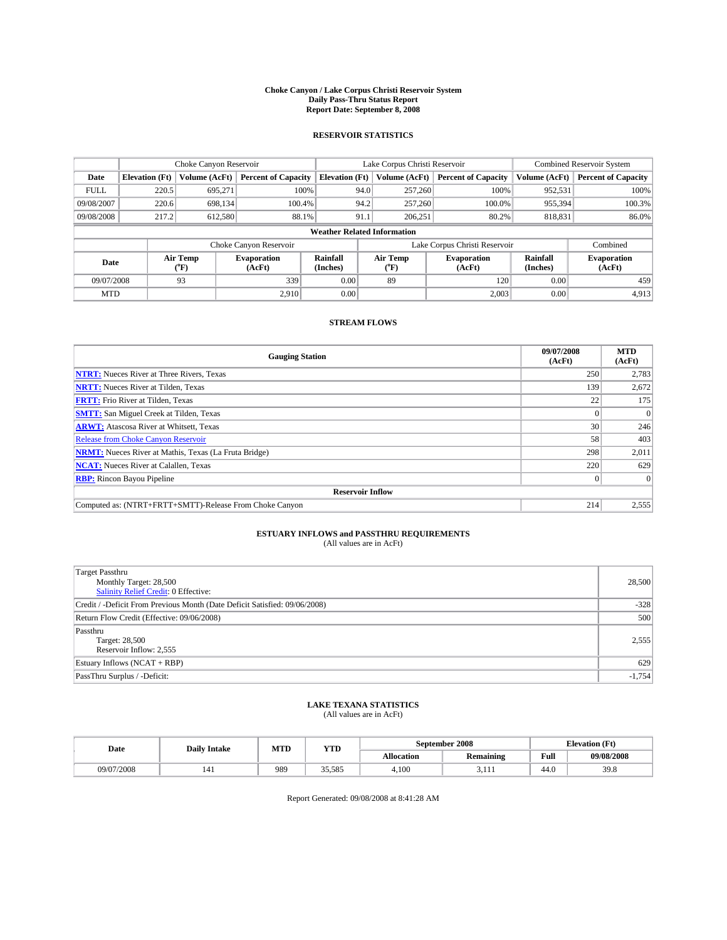#### **Choke Canyon / Lake Corpus Christi Reservoir System Daily Pass-Thru Status Report Report Date: September 8, 2008**

### **RESERVOIR STATISTICS**

|             | Choke Canyon Reservoir             |                  |                              |                       | Lake Corpus Christi Reservoir |                  |                              |                      | <b>Combined Reservoir System</b> |  |  |
|-------------|------------------------------------|------------------|------------------------------|-----------------------|-------------------------------|------------------|------------------------------|----------------------|----------------------------------|--|--|
| Date        | <b>Elevation</b> (Ft)              | Volume (AcFt)    | <b>Percent of Capacity</b>   | <b>Elevation</b> (Ft) |                               | Volume (AcFt)    | <b>Percent of Capacity</b>   | Volume (AcFt)        | <b>Percent of Capacity</b>       |  |  |
| <b>FULL</b> | 220.5                              | 695,271          | 100%                         |                       | 94.0                          | 257,260          | 100%                         | 952,531              | 100%                             |  |  |
| 09/08/2007  | 220.6                              | 698.134          | 100.4%                       |                       | 94.2                          | 257,260          | 100.0%                       | 955,394              | 100.3%                           |  |  |
| 09/08/2008  | 217.2                              | 612,580          | 88.1%                        |                       | 91.1                          | 206.251          | 80.2%                        | 818,831              | 86.0%                            |  |  |
|             | <b>Weather Related Information</b> |                  |                              |                       |                               |                  |                              |                      |                                  |  |  |
|             |                                    |                  | Choke Canyon Reservoir       |                       | Lake Corpus Christi Reservoir |                  |                              |                      | Combined                         |  |  |
| Date        |                                    | Air Temp<br>(°F) | <b>Evaporation</b><br>(AcFt) | Rainfall<br>(Inches)  |                               | Air Temp<br>("F) | <b>Evaporation</b><br>(AcFt) | Rainfall<br>(Inches) | <b>Evaporation</b><br>(AcFt)     |  |  |
| 09/07/2008  |                                    | 93               | 339                          | 0.00                  |                               | 89               | 120                          | 0.00                 | 459                              |  |  |
| <b>MTD</b>  |                                    |                  | 2.910                        | 0.00                  |                               |                  | 2,003                        | 0.00                 | 4,913                            |  |  |

### **STREAM FLOWS**

| <b>Gauging Station</b>                                       | 09/07/2008<br>(AcFt) | <b>MTD</b><br>(AcFt) |
|--------------------------------------------------------------|----------------------|----------------------|
| <b>NTRT:</b> Nueces River at Three Rivers, Texas             | 250                  | 2,783                |
| <b>NRTT:</b> Nueces River at Tilden, Texas                   | 139                  | 2,672                |
| <b>FRTT:</b> Frio River at Tilden, Texas                     | 22                   | 175                  |
| <b>SMTT:</b> San Miguel Creek at Tilden, Texas               |                      |                      |
| <b>ARWT:</b> Atascosa River at Whitsett, Texas               | 30                   | 246                  |
| <b>Release from Choke Canyon Reservoir</b>                   | 58                   | 403                  |
| <b>NRMT:</b> Nueces River at Mathis, Texas (La Fruta Bridge) | 298                  | 2,011                |
| <b>NCAT:</b> Nueces River at Calallen, Texas                 | 220                  | 629                  |
| <b>RBP:</b> Rincon Bayou Pipeline                            | $\overline{0}$       |                      |
| <b>Reservoir Inflow</b>                                      |                      |                      |
| Computed as: (NTRT+FRTT+SMTT)-Release From Choke Canyon      | 214                  | 2,555                |

# **ESTUARY INFLOWS and PASSTHRU REQUIREMENTS**<br>(All values are in AcFt)

| Target Passthru                                                            |          |
|----------------------------------------------------------------------------|----------|
| Monthly Target: 28,500                                                     | 28,500   |
| <b>Salinity Relief Credit: 0 Effective:</b>                                |          |
| Credit / -Deficit From Previous Month (Date Deficit Satisfied: 09/06/2008) | $-328$   |
| Return Flow Credit (Effective: 09/06/2008)                                 | 500      |
| Passthru                                                                   |          |
| Target: 28,500                                                             | 2,555    |
| Reservoir Inflow: 2,555                                                    |          |
| Estuary Inflows (NCAT + RBP)                                               | 629      |
| PassThru Surplus / -Deficit:                                               | $-1,754$ |

## **LAKE TEXANA STATISTICS** (All values are in AcFt)

| Date       | <b>Daily Intake</b> | MTD | YTD    |            | September 2008   | <b>Elevation</b> (Ft) |            |
|------------|---------------------|-----|--------|------------|------------------|-----------------------|------------|
|            |                     |     |        | Allocation | <b>Remaining</b> | Full                  | 09/08/2008 |
| 09/07/2008 | 141                 | 989 | 35.585 | 4.100      | J.III            | 44.0                  | 39.8       |

Report Generated: 09/08/2008 at 8:41:28 AM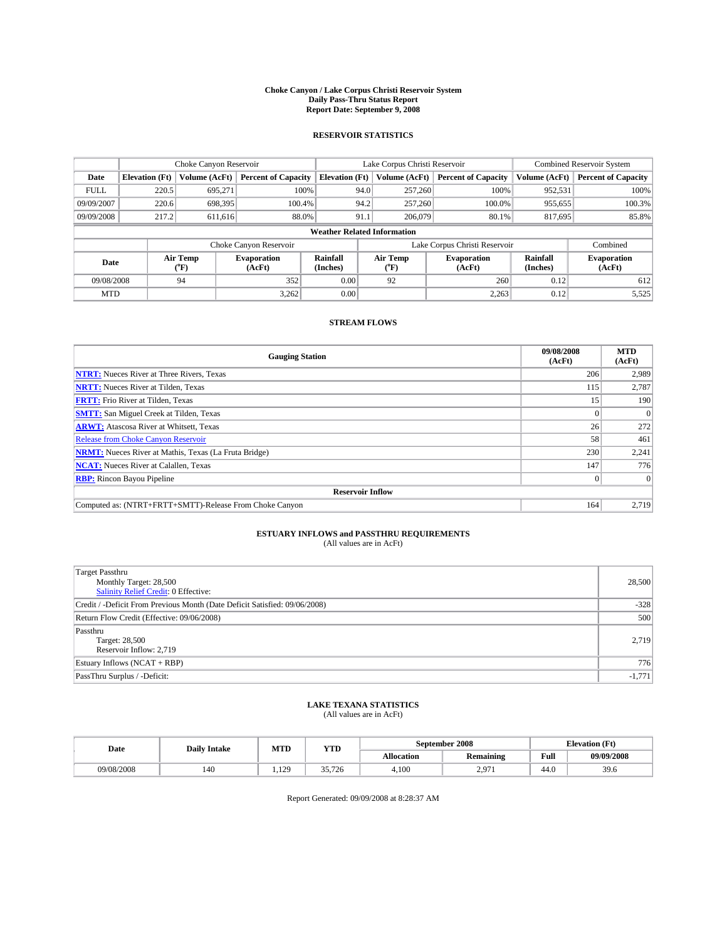#### **Choke Canyon / Lake Corpus Christi Reservoir System Daily Pass-Thru Status Report Report Date: September 9, 2008**

### **RESERVOIR STATISTICS**

|             | Choke Canyon Reservoir             |                  |                              |                       |                               | Lake Corpus Christi Reservoir |                              | <b>Combined Reservoir System</b> |                              |  |
|-------------|------------------------------------|------------------|------------------------------|-----------------------|-------------------------------|-------------------------------|------------------------------|----------------------------------|------------------------------|--|
| Date        | <b>Elevation</b> (Ft)              | Volume (AcFt)    | <b>Percent of Capacity</b>   | <b>Elevation</b> (Ft) |                               | Volume (AcFt)                 | <b>Percent of Capacity</b>   | Volume (AcFt)                    | <b>Percent of Capacity</b>   |  |
| <b>FULL</b> | 220.5                              | 695,271          |                              | 100%                  | 94.0                          | 257,260                       | 100%                         | 952,531                          | 100%                         |  |
| 09/09/2007  | 220.6                              | 698,395          | 100.4%                       |                       | 94.2                          | 257,260                       | 100.0%                       | 955,655                          | 100.3%                       |  |
| 09/09/2008  | 217.2                              | 611,616          | 88.0%                        |                       | 91.1                          | 206,079                       | 80.1%                        | 817,695                          | 85.8%                        |  |
|             | <b>Weather Related Information</b> |                  |                              |                       |                               |                               |                              |                                  |                              |  |
|             |                                    |                  | Choke Canyon Reservoir       |                       | Lake Corpus Christi Reservoir |                               |                              |                                  | Combined                     |  |
| Date        |                                    | Air Temp<br>(°F) | <b>Evaporation</b><br>(AcFt) | Rainfall<br>(Inches)  |                               | Air Temp<br>("F)              | <b>Evaporation</b><br>(AcFt) | Rainfall<br>(Inches)             | <b>Evaporation</b><br>(AcFt) |  |
| 09/08/2008  |                                    | 94               | 352                          | 0.00                  |                               | 92                            | 260                          | 0.12                             | 612                          |  |
| <b>MTD</b>  |                                    |                  | 3,262                        | 0.00                  |                               |                               | 2,263                        | 0.12                             | 5,525                        |  |

### **STREAM FLOWS**

| <b>Gauging Station</b>                                       | 09/08/2008<br>(AcFt) | <b>MTD</b><br>(AcFt) |
|--------------------------------------------------------------|----------------------|----------------------|
| <b>NTRT:</b> Nueces River at Three Rivers, Texas             | 206                  | 2,989                |
| <b>NRTT:</b> Nueces River at Tilden, Texas                   | 115                  | 2,787                |
| <b>FRTT:</b> Frio River at Tilden, Texas                     | 15                   | 190                  |
| <b>SMTT:</b> San Miguel Creek at Tilden, Texas               |                      | $\Omega$             |
| <b>ARWT:</b> Atascosa River at Whitsett, Texas               | 26                   | 272                  |
| <b>Release from Choke Canyon Reservoir</b>                   | 58                   | 461                  |
| <b>NRMT:</b> Nueces River at Mathis, Texas (La Fruta Bridge) | 230                  | 2,241                |
| <b>NCAT:</b> Nueces River at Calallen, Texas                 | 147                  | 776                  |
| <b>RBP:</b> Rincon Bayou Pipeline                            | $\overline{0}$       | $\Omega$             |
| <b>Reservoir Inflow</b>                                      |                      |                      |
| Computed as: (NTRT+FRTT+SMTT)-Release From Choke Canyon      | 164                  | 2,719                |

# **ESTUARY INFLOWS and PASSTHRU REQUIREMENTS**<br>(All values are in AcFt)

| <b>Target Passthru</b><br>Monthly Target: 28,500<br><b>Salinity Relief Credit: 0 Effective:</b> | 28,500   |
|-------------------------------------------------------------------------------------------------|----------|
| Credit / -Deficit From Previous Month (Date Deficit Satisfied: 09/06/2008)                      | $-328$   |
| Return Flow Credit (Effective: 09/06/2008)                                                      | 500      |
| Passthru<br>Target: 28,500<br>Reservoir Inflow: 2,719                                           | 2,719    |
| Estuary Inflows (NCAT + RBP)                                                                    | 776      |
| PassThru Surplus / -Deficit:                                                                    | $-1,771$ |

# **LAKE TEXANA STATISTICS** (All values are in AcFt)

| Date       | <b>Daily Intake</b> | MTD          | <b>YTD</b> |            | September 2008   | <b>Elevation</b> (Ft)                       |            |
|------------|---------------------|--------------|------------|------------|------------------|---------------------------------------------|------------|
|            |                     |              |            | Allocation | <b>Remaining</b> | Full<br>the contract of the contract of the | 09/09/2008 |
| 09/08/2008 | 140                 | 100<br>1.129 | 35.726     | 4,100      | 2071<br><u>.</u> | 44.0                                        | 39.6       |

Report Generated: 09/09/2008 at 8:28:37 AM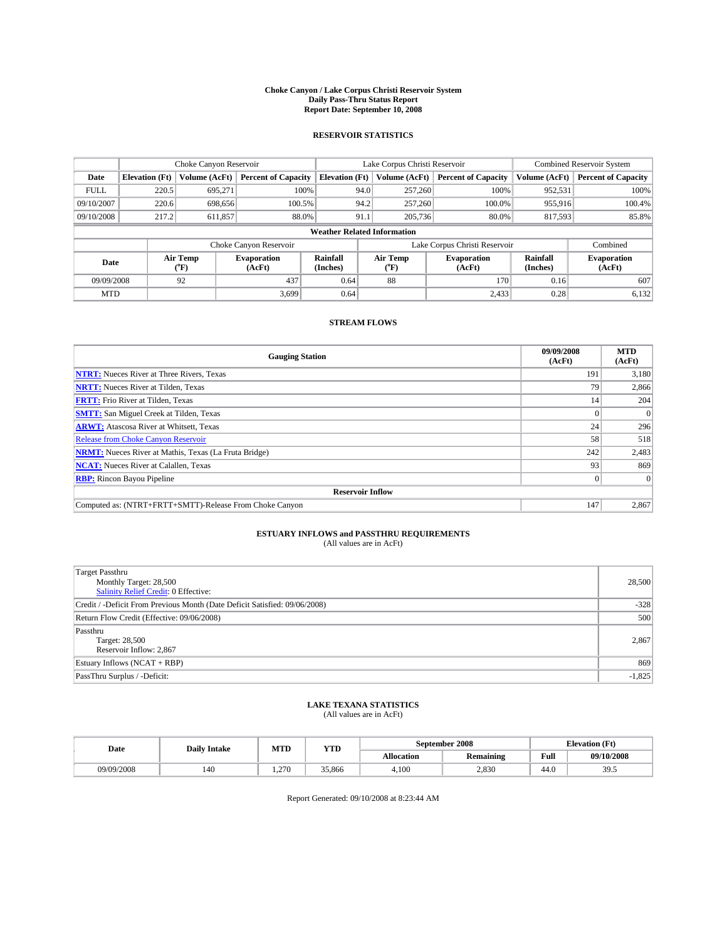#### **Choke Canyon / Lake Corpus Christi Reservoir System Daily Pass-Thru Status Report Report Date: September 10, 2008**

### **RESERVOIR STATISTICS**

|                                    | Choke Canyon Reservoir                                               |                  |                              | Lake Corpus Christi Reservoir |                               | <b>Combined Reservoir System</b> |                              |                            |                              |
|------------------------------------|----------------------------------------------------------------------|------------------|------------------------------|-------------------------------|-------------------------------|----------------------------------|------------------------------|----------------------------|------------------------------|
| Date                               | <b>Percent of Capacity</b><br><b>Elevation</b> (Ft)<br>Volume (AcFt) |                  | <b>Elevation</b> (Ft)        |                               | Volume (AcFt)                 | <b>Percent of Capacity</b>       | Volume (AcFt)                | <b>Percent of Capacity</b> |                              |
| <b>FULL</b>                        | 220.5                                                                | 695,271          | 100%                         |                               | 94.0                          | 257,260                          | 100%                         | 952,531                    | 100%                         |
| 09/10/2007                         | 220.6                                                                | 698.656          | 100.5%                       |                               | 94.2                          | 257,260                          | 100.0%                       | 955,916                    | 100.4%                       |
| 09/10/2008                         | 217.2                                                                | 611,857          | 88.0%                        |                               | 205,736<br>91.1<br>80.0%      |                                  | 817,593                      | 85.8%                      |                              |
| <b>Weather Related Information</b> |                                                                      |                  |                              |                               |                               |                                  |                              |                            |                              |
|                                    |                                                                      |                  | Choke Canyon Reservoir       |                               | Lake Corpus Christi Reservoir |                                  |                              |                            | Combined                     |
| Date                               |                                                                      | Air Temp<br>(°F) | <b>Evaporation</b><br>(AcFt) | Rainfall<br>(Inches)          |                               | Air Temp<br>("F)                 | <b>Evaporation</b><br>(AcFt) | Rainfall<br>(Inches)       | <b>Evaporation</b><br>(AcFt) |
| 09/09/2008                         |                                                                      | 92               | 437                          | 0.64                          |                               | 88                               | 170                          | 0.16                       | 607                          |
| <b>MTD</b>                         |                                                                      |                  | 3,699                        | 0.64                          |                               |                                  | 2,433                        | 0.28                       | 6,132                        |

### **STREAM FLOWS**

| <b>Gauging Station</b>                                       | 09/09/2008<br>(AcFt) | <b>MTD</b><br>(AcFt) |
|--------------------------------------------------------------|----------------------|----------------------|
| <b>NTRT:</b> Nueces River at Three Rivers, Texas             | 191                  | 3,180                |
| <b>NRTT:</b> Nueces River at Tilden, Texas                   | 79                   | 2,866                |
| <b>FRTT:</b> Frio River at Tilden, Texas                     | 14                   | 204                  |
| <b>SMTT:</b> San Miguel Creek at Tilden, Texas               |                      |                      |
| <b>ARWT:</b> Atascosa River at Whitsett, Texas               | 24                   | 296                  |
| Release from Choke Canyon Reservoir                          | 58                   | 518                  |
| <b>NRMT:</b> Nueces River at Mathis, Texas (La Fruta Bridge) | 242                  | 2,483                |
| <b>NCAT:</b> Nueces River at Calallen, Texas                 | 93                   | 869                  |
| <b>RBP:</b> Rincon Bayou Pipeline                            | $\vert 0 \vert$      | $\Omega$             |
| <b>Reservoir Inflow</b>                                      |                      |                      |
| Computed as: (NTRT+FRTT+SMTT)-Release From Choke Canyon      | 147                  | 2,867                |

# **ESTUARY INFLOWS and PASSTHRU REQUIREMENTS**<br>(All values are in AcFt)

| Target Passthru                                                            |          |
|----------------------------------------------------------------------------|----------|
| Monthly Target: 28,500                                                     | 28,500   |
| <b>Salinity Relief Credit: 0 Effective:</b>                                |          |
| Credit / -Deficit From Previous Month (Date Deficit Satisfied: 09/06/2008) | $-328$   |
| Return Flow Credit (Effective: 09/06/2008)                                 | 500      |
| Passthru                                                                   |          |
| Target: 28,500                                                             | 2,867    |
| Reservoir Inflow: 2,867                                                    |          |
| Estuary Inflows (NCAT + RBP)                                               | 869      |
| PassThru Surplus / -Deficit:                                               | $-1,825$ |

## **LAKE TEXANA STATISTICS** (All values are in AcFt)

| Date       | <b>Daily Intake</b> | MTI                | YTD    |                   | September 2008   | <b>Elevation</b> (Ft) |            |
|------------|---------------------|--------------------|--------|-------------------|------------------|-----------------------|------------|
|            |                     |                    |        | <b>Allocation</b> | <b>Remaining</b> | Full                  | 09/10/2008 |
| 09/09/2008 | 140                 | 270<br>۱۰۰ / سامبر | 35,866 | 4.100             | 2.830            | 44.0                  | 30.<br>ں ر |

Report Generated: 09/10/2008 at 8:23:44 AM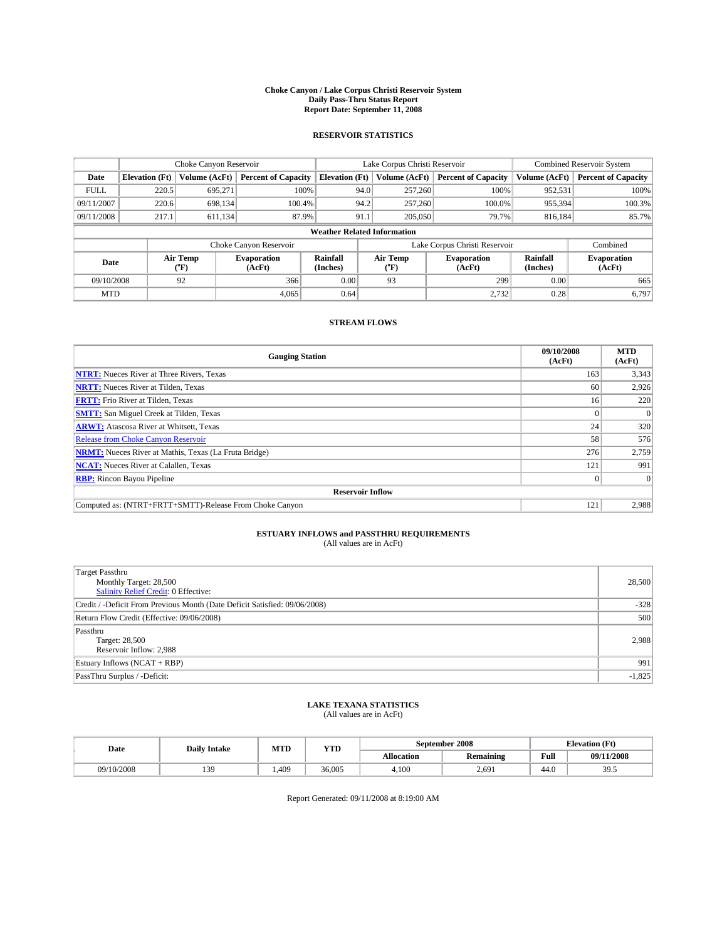#### **Choke Canyon / Lake Corpus Christi Reservoir System Daily Pass-Thru Status Report Report Date: September 11, 2008**

### **RESERVOIR STATISTICS**

|                                    | Choke Canyon Reservoir                                               |                             |                              | Lake Corpus Christi Reservoir |                               | <b>Combined Reservoir System</b> |                              |                            |                              |
|------------------------------------|----------------------------------------------------------------------|-----------------------------|------------------------------|-------------------------------|-------------------------------|----------------------------------|------------------------------|----------------------------|------------------------------|
| Date                               | <b>Percent of Capacity</b><br>Volume (AcFt)<br><b>Elevation</b> (Ft) |                             | <b>Elevation</b> (Ft)        |                               | Volume (AcFt)                 | <b>Percent of Capacity</b>       | Volume (AcFt)                | <b>Percent of Capacity</b> |                              |
| <b>FULL</b>                        | 220.5                                                                | 695,271                     | 100%                         |                               | 94.0                          | 257,260                          | 100%                         | 952,531                    | 100%                         |
| 09/11/2007                         | 220.6                                                                | 698.134                     | 100.4%                       |                               | 94.2                          | 257,260                          | 100.0%                       | 955,394                    | 100.3%                       |
| 09/11/2008                         | 217.1                                                                | 611.134                     | 87.9%                        |                               | 91.1                          | 205,050                          | 79.7%                        | 816,184                    | 85.7%                        |
| <b>Weather Related Information</b> |                                                                      |                             |                              |                               |                               |                                  |                              |                            |                              |
|                                    |                                                                      |                             | Choke Canyon Reservoir       |                               | Lake Corpus Christi Reservoir |                                  |                              |                            | Combined                     |
| Date                               |                                                                      | Air Temp<br>${}^{\circ}$ F) | <b>Evaporation</b><br>(AcFt) | Rainfall<br>(Inches)          |                               | Air Temp<br>("F)                 | <b>Evaporation</b><br>(AcFt) | Rainfall<br>(Inches)       | <b>Evaporation</b><br>(AcFt) |
| 09/10/2008                         |                                                                      | 92                          | 366                          | 0.00                          |                               | 93                               | 299                          | 0.00                       | 665                          |
| <b>MTD</b>                         |                                                                      |                             | 4,065                        | 0.64                          |                               |                                  | 2,732                        | 0.28                       | 6,797                        |

### **STREAM FLOWS**

| <b>Gauging Station</b>                                       | 09/10/2008<br>(AcFt) | <b>MTD</b><br>(AcFt) |
|--------------------------------------------------------------|----------------------|----------------------|
| <b>NTRT:</b> Nueces River at Three Rivers, Texas             | 163                  | 3,343                |
| <b>NRTT:</b> Nueces River at Tilden, Texas                   | 60                   | 2,926                |
| <b>FRTT:</b> Frio River at Tilden, Texas                     | 16 <sup>1</sup>      | 220                  |
| <b>SMTT:</b> San Miguel Creek at Tilden, Texas               | $\Omega$             |                      |
| <b>ARWT:</b> Atascosa River at Whitsett, Texas               | 24                   | 320                  |
| <b>Release from Choke Canyon Reservoir</b>                   | 58                   | 576                  |
| <b>NRMT:</b> Nueces River at Mathis, Texas (La Fruta Bridge) | 276                  | 2,759                |
| <b>NCAT:</b> Nueces River at Calallen, Texas                 | 121                  | 991                  |
| <b>RBP:</b> Rincon Bayou Pipeline                            | $\overline{0}$       |                      |
| <b>Reservoir Inflow</b>                                      |                      |                      |
| Computed as: (NTRT+FRTT+SMTT)-Release From Choke Canyon      | 121                  | 2,988                |

# **ESTUARY INFLOWS and PASSTHRU REQUIREMENTS**<br>(All values are in AcFt)

| <b>Target Passthru</b><br>Monthly Target: 28,500<br>Salinity Relief Credit: 0 Effective: | 28,500   |
|------------------------------------------------------------------------------------------|----------|
| Credit / -Deficit From Previous Month (Date Deficit Satisfied: 09/06/2008)               | $-328$   |
| Return Flow Credit (Effective: 09/06/2008)                                               | 500      |
| Passthru<br>Target: 28,500<br>Reservoir Inflow: 2,988                                    | 2,988    |
| Estuary Inflows (NCAT + RBP)                                                             | 991      |
| PassThru Surplus / -Deficit:                                                             | $-1,825$ |

# **LAKE TEXANA STATISTICS** (All values are in AcFt)

| Date       | <b>Daily Intake</b> | MTD  | <b>YTD</b> |            | September 2008   | <b>Elevation</b> (Ft) |               |
|------------|---------------------|------|------------|------------|------------------|-----------------------|---------------|
|            |                     |      |            | Allocation | <b>Remaining</b> | Full                  | 09/11/2008    |
| 09/10/2008 | 139                 | .409 | 36,005     | 4.100      | 2.691            | 44.0                  | 305<br>ر. ر ر |

Report Generated: 09/11/2008 at 8:19:00 AM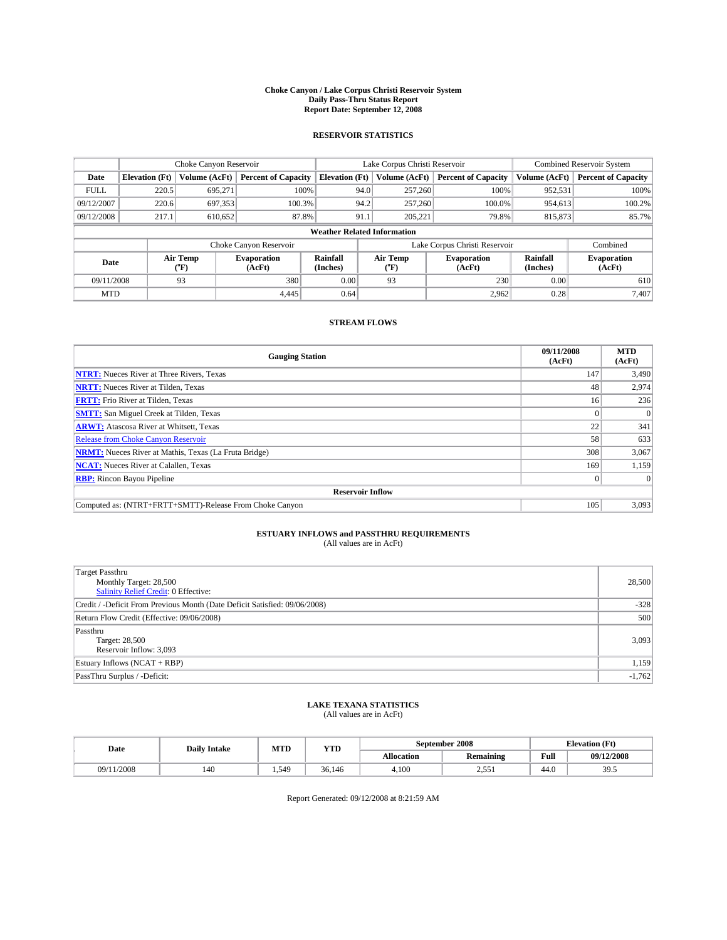#### **Choke Canyon / Lake Corpus Christi Reservoir System Daily Pass-Thru Status Report Report Date: September 12, 2008**

### **RESERVOIR STATISTICS**

|                                    |                                                                      |                  | Lake Corpus Christi Reservoir |                      |                               |                            | <b>Combined Reservoir System</b> |                            |                              |
|------------------------------------|----------------------------------------------------------------------|------------------|-------------------------------|----------------------|-------------------------------|----------------------------|----------------------------------|----------------------------|------------------------------|
| Date                               | <b>Percent of Capacity</b><br>Volume (AcFt)<br><b>Elevation</b> (Ft) |                  | <b>Elevation</b> (Ft)         |                      | Volume (AcFt)                 | <b>Percent of Capacity</b> | Volume (AcFt)                    | <b>Percent of Capacity</b> |                              |
| <b>FULL</b>                        | 220.5                                                                | 695,271          |                               | 100%                 | 94.0                          | 257,260                    | 100%                             | 952,531                    | 100%                         |
| 09/12/2007                         | 220.6                                                                | 697,353          | 100.3%                        |                      | 94.2                          | 257,260                    | 100.0%                           | 954,613                    | 100.2%                       |
| 09/12/2008                         | 217.1                                                                | 610,652          | 87.8%                         |                      | 91.1                          |                            | 205,221<br>79.8%                 | 815,873                    | 85.7%                        |
| <b>Weather Related Information</b> |                                                                      |                  |                               |                      |                               |                            |                                  |                            |                              |
|                                    |                                                                      |                  | Choke Canyon Reservoir        |                      | Lake Corpus Christi Reservoir |                            |                                  |                            | Combined                     |
| Date                               |                                                                      | Air Temp<br>(°F) | <b>Evaporation</b><br>(AcFt)  | Rainfall<br>(Inches) |                               | Air Temp<br>("F)           | <b>Evaporation</b><br>(AcFt)     | Rainfall<br>(Inches)       | <b>Evaporation</b><br>(AcFt) |
| 09/11/2008                         |                                                                      | 93               | 380                           | 0.00                 |                               | 93                         | 230                              | 0.00                       | 610                          |
| <b>MTD</b>                         |                                                                      |                  | 4.445                         | 0.64                 |                               |                            | 2,962                            | 0.28                       | 7,407                        |

### **STREAM FLOWS**

| <b>Gauging Station</b>                                       | 09/11/2008<br>(AcFt) | <b>MTD</b><br>(AcFt) |
|--------------------------------------------------------------|----------------------|----------------------|
| <b>NTRT:</b> Nueces River at Three Rivers, Texas             | 147                  | 3,490                |
| <b>NRTT:</b> Nueces River at Tilden, Texas                   | 48                   | 2,974                |
| <b>FRTT:</b> Frio River at Tilden, Texas                     | 16 <sup>1</sup>      | 236                  |
| <b>SMTT:</b> San Miguel Creek at Tilden, Texas               |                      |                      |
| <b>ARWT:</b> Atascosa River at Whitsett, Texas               | 22                   | 341                  |
| <b>Release from Choke Canyon Reservoir</b>                   | 58                   | 633                  |
| <b>NRMT:</b> Nueces River at Mathis, Texas (La Fruta Bridge) | 308                  | 3,067                |
| <b>NCAT:</b> Nueces River at Calallen, Texas                 | 169                  | 1,159                |
| <b>RBP:</b> Rincon Bayou Pipeline                            | $\overline{0}$       |                      |
| <b>Reservoir Inflow</b>                                      |                      |                      |
| Computed as: (NTRT+FRTT+SMTT)-Release From Choke Canyon      | 105                  | 3,093                |

# **ESTUARY INFLOWS and PASSTHRU REQUIREMENTS**<br>(All values are in AcFt)

| Target Passthru<br>Monthly Target: 28,500<br><b>Salinity Relief Credit: 0 Effective:</b> | 28,500   |
|------------------------------------------------------------------------------------------|----------|
|                                                                                          |          |
|                                                                                          |          |
|                                                                                          |          |
| Credit / -Deficit From Previous Month (Date Deficit Satisfied: 09/06/2008)               | $-328$   |
| Return Flow Credit (Effective: 09/06/2008)                                               | 500      |
| Passthru                                                                                 |          |
| Target: 28,500                                                                           | 3,093    |
| Reservoir Inflow: 3,093                                                                  |          |
| Estuary Inflows (NCAT + RBP)                                                             | 1,159    |
| PassThru Surplus / -Deficit:                                                             | $-1,762$ |

## **LAKE TEXANA STATISTICS** (All values are in AcFt)

| Date       | <b>Daily Intake</b> | MTD   | YTD    |            | September 2008   | <b>Elevation</b> (Ft) |            |
|------------|---------------------|-------|--------|------------|------------------|-----------------------|------------|
|            |                     |       |        | Allocation | <b>Remaining</b> | Full                  | 09/12/2008 |
| 09/11/2008 | 140                 | 1.540 | 36.146 | 4.100      | 551<br>ہ رہے۔    | 44.0                  | 305<br>ں ر |

Report Generated: 09/12/2008 at 8:21:59 AM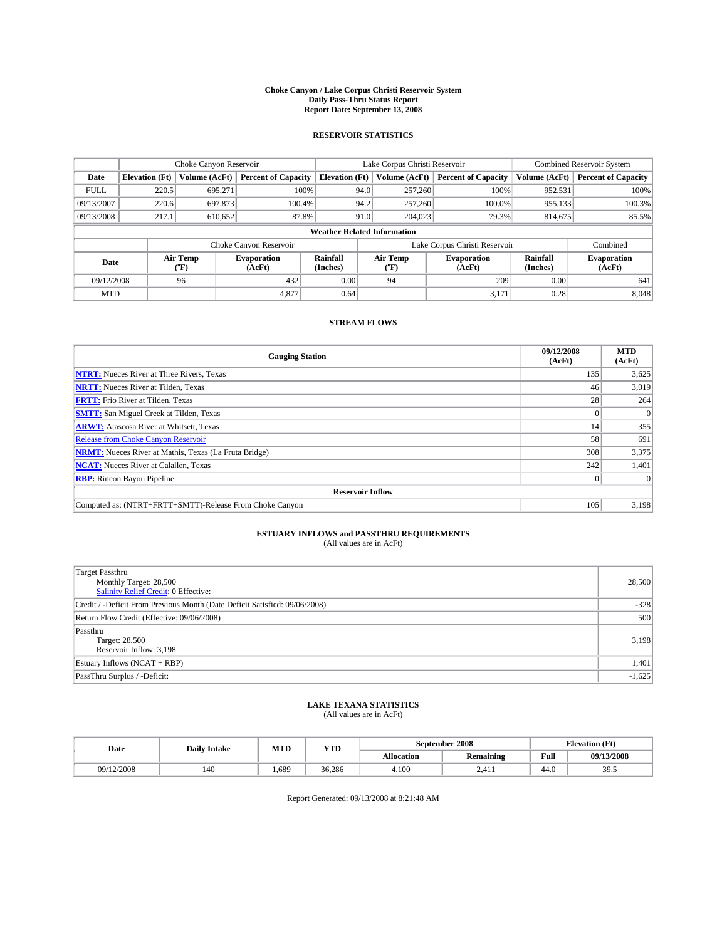#### **Choke Canyon / Lake Corpus Christi Reservoir System Daily Pass-Thru Status Report Report Date: September 13, 2008**

### **RESERVOIR STATISTICS**

|             | Choke Canyon Reservoir             |                  |                              |                       | Lake Corpus Christi Reservoir |                  |                              |                      | <b>Combined Reservoir System</b> |  |  |
|-------------|------------------------------------|------------------|------------------------------|-----------------------|-------------------------------|------------------|------------------------------|----------------------|----------------------------------|--|--|
| Date        | <b>Elevation</b> (Ft)              | Volume (AcFt)    | <b>Percent of Capacity</b>   | <b>Elevation</b> (Ft) |                               | Volume (AcFt)    | <b>Percent of Capacity</b>   | Volume (AcFt)        | <b>Percent of Capacity</b>       |  |  |
| <b>FULL</b> | 220.5                              | 695,271          |                              | 100%                  | 94.0                          | 257,260          | 100%                         | 952,531              | 100%                             |  |  |
| 09/13/2007  | 220.6                              | 697,873          | 100.4%                       |                       | 94.2                          | 257,260          | 100.0%                       | 955,133              | 100.3%                           |  |  |
| 09/13/2008  | 217.1                              | 610,652          | 87.8%                        |                       | 91.0                          | 204,023          | 79.3%                        | 814,675              | 85.5%                            |  |  |
|             | <b>Weather Related Information</b> |                  |                              |                       |                               |                  |                              |                      |                                  |  |  |
|             |                                    |                  | Choke Canyon Reservoir       |                       | Lake Corpus Christi Reservoir |                  |                              |                      | Combined                         |  |  |
| Date        |                                    | Air Temp<br>(°F) | <b>Evaporation</b><br>(AcFt) | Rainfall<br>(Inches)  |                               | Air Temp<br>("F) | <b>Evaporation</b><br>(AcFt) | Rainfall<br>(Inches) | <b>Evaporation</b><br>(AcFt)     |  |  |
| 09/12/2008  |                                    | 96               | 432                          | 0.00                  |                               | 94               | 209                          | 0.00                 | 641                              |  |  |
| <b>MTD</b>  |                                    |                  | 4,877                        | 0.64                  |                               |                  | 3,171                        | 0.28                 | 8,048                            |  |  |

### **STREAM FLOWS**

| <b>Gauging Station</b>                                       | 09/12/2008<br>(AcFt) | <b>MTD</b><br>(AcFt) |
|--------------------------------------------------------------|----------------------|----------------------|
| <b>NTRT:</b> Nueces River at Three Rivers, Texas             | 135                  | 3,625                |
| <b>NRTT:</b> Nueces River at Tilden, Texas                   | 46                   | 3,019                |
| <b>FRTT:</b> Frio River at Tilden, Texas                     | 28                   | 264                  |
| <b>SMTT:</b> San Miguel Creek at Tilden, Texas               |                      |                      |
| <b>ARWT:</b> Atascosa River at Whitsett, Texas               | 14                   | 355                  |
| <b>Release from Choke Canyon Reservoir</b>                   | 58                   | 691                  |
| <b>NRMT:</b> Nueces River at Mathis, Texas (La Fruta Bridge) | 308                  | 3,375                |
| <b>NCAT:</b> Nueces River at Calallen, Texas                 | 242                  | 1,401                |
| <b>RBP:</b> Rincon Bayou Pipeline                            | $\overline{0}$       |                      |
| <b>Reservoir Inflow</b>                                      |                      |                      |
| Computed as: (NTRT+FRTT+SMTT)-Release From Choke Canyon      | 105                  | 3,198                |

# **ESTUARY INFLOWS and PASSTHRU REQUIREMENTS**<br>(All values are in AcFt)

| Target Passthru                                                            |          |
|----------------------------------------------------------------------------|----------|
| Monthly Target: 28,500                                                     | 28,500   |
| <b>Salinity Relief Credit: 0 Effective:</b>                                |          |
| Credit / -Deficit From Previous Month (Date Deficit Satisfied: 09/06/2008) | $-328$   |
| Return Flow Credit (Effective: 09/06/2008)                                 | 500      |
| Passthru                                                                   |          |
| Target: 28,500                                                             | 3,198    |
| Reservoir Inflow: 3,198                                                    |          |
| Estuary Inflows (NCAT + RBP)                                               | 1,401    |
| PassThru Surplus / -Deficit:                                               | $-1,625$ |

## **LAKE TEXANA STATISTICS** (All values are in AcFt)

| Date       | <b>Daily Intake</b> | MTD  | <b>YTD</b> |            | September 2008   | <b>Elevation</b> (Ft) |               |
|------------|---------------------|------|------------|------------|------------------|-----------------------|---------------|
|            |                     |      |            | Allocation | <b>Remaining</b> | Full                  | 09/13/2008    |
| 09/12/2008 | 140                 | .689 | 36.286     | 4.100      | 2.411            | 44.0                  | 305<br>ر. ر ر |

Report Generated: 09/13/2008 at 8:21:48 AM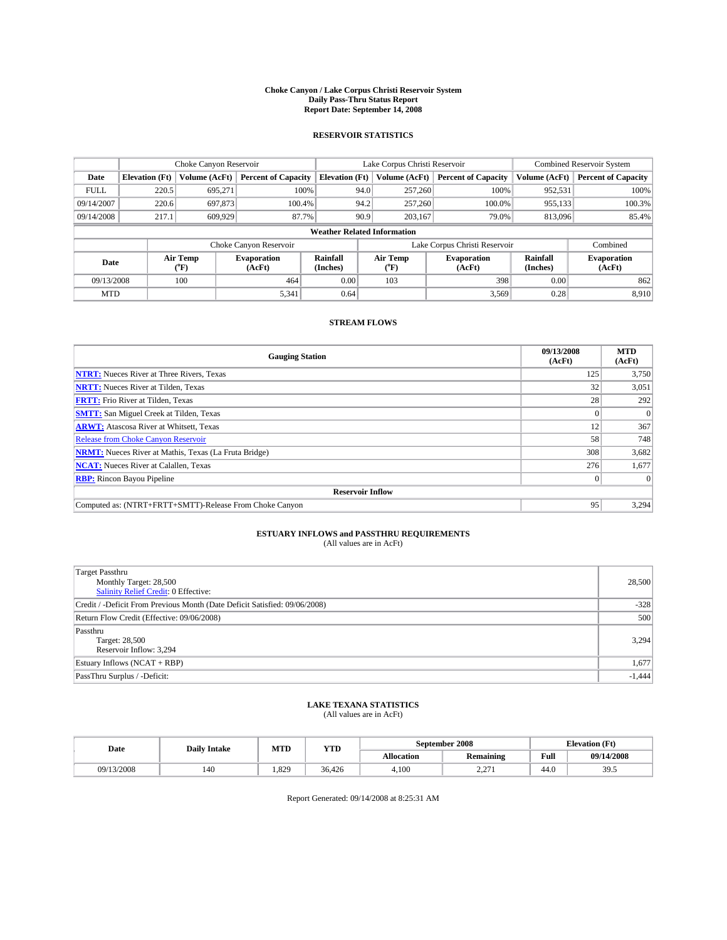#### **Choke Canyon / Lake Corpus Christi Reservoir System Daily Pass-Thru Status Report Report Date: September 14, 2008**

### **RESERVOIR STATISTICS**

|             | Choke Canyon Reservoir             |                  |                              |                       | Lake Corpus Christi Reservoir |                  |                              |                      | <b>Combined Reservoir System</b> |  |  |
|-------------|------------------------------------|------------------|------------------------------|-----------------------|-------------------------------|------------------|------------------------------|----------------------|----------------------------------|--|--|
| Date        | <b>Elevation</b> (Ft)              | Volume (AcFt)    | <b>Percent of Capacity</b>   | <b>Elevation</b> (Ft) |                               | Volume (AcFt)    | <b>Percent of Capacity</b>   | Volume (AcFt)        | <b>Percent of Capacity</b>       |  |  |
| <b>FULL</b> | 220.5                              | 695,271          |                              | 100%                  | 94.0                          | 257,260          | 100%                         | 952,531              | 100%                             |  |  |
| 09/14/2007  | 220.6                              | 697,873          | 100.4%                       |                       | 94.2                          | 257,260          | 100.0%                       | 955,133              | 100.3%                           |  |  |
| 09/14/2008  | 217.1                              | 609.929          |                              | 87.7%                 | 90.9                          | 203,167          | 79.0%                        | 813,096              | 85.4%                            |  |  |
|             | <b>Weather Related Information</b> |                  |                              |                       |                               |                  |                              |                      |                                  |  |  |
|             |                                    |                  | Choke Canyon Reservoir       |                       | Lake Corpus Christi Reservoir |                  |                              |                      | Combined                         |  |  |
| Date        |                                    | Air Temp<br>(°F) | <b>Evaporation</b><br>(AcFt) | Rainfall<br>(Inches)  |                               | Air Temp<br>("F) | <b>Evaporation</b><br>(AcFt) | Rainfall<br>(Inches) | <b>Evaporation</b><br>(AcFt)     |  |  |
| 09/13/2008  |                                    | 100              | 464                          | 0.00                  |                               | 103              | 398                          | 0.00                 | 862                              |  |  |
| <b>MTD</b>  |                                    |                  | 5,341                        | 0.64                  |                               |                  | 3,569                        | 0.28                 | 8,910                            |  |  |

### **STREAM FLOWS**

| <b>Gauging Station</b>                                       | 09/13/2008<br>(AcFt) | <b>MTD</b><br>(AcFt) |
|--------------------------------------------------------------|----------------------|----------------------|
| <b>NTRT:</b> Nueces River at Three Rivers, Texas             | 125                  | 3,750                |
| <b>NRTT:</b> Nueces River at Tilden, Texas                   | 32                   | 3,051                |
| <b>FRTT:</b> Frio River at Tilden, Texas                     | 28                   | 292                  |
| <b>SMTT:</b> San Miguel Creek at Tilden, Texas               |                      |                      |
| <b>ARWT:</b> Atascosa River at Whitsett, Texas               | 12                   | 367                  |
| <b>Release from Choke Canyon Reservoir</b>                   | 58                   | 748                  |
| <b>NRMT:</b> Nueces River at Mathis, Texas (La Fruta Bridge) | 308                  | 3,682                |
| <b>NCAT:</b> Nueces River at Calallen, Texas                 | 276                  | 1,677                |
| <b>RBP:</b> Rincon Bayou Pipeline                            | $\overline{0}$       |                      |
| <b>Reservoir Inflow</b>                                      |                      |                      |
| Computed as: (NTRT+FRTT+SMTT)-Release From Choke Canyon      | 95                   | 3,294                |

# **ESTUARY INFLOWS and PASSTHRU REQUIREMENTS**<br>(All values are in AcFt)

| Target Passthru<br>Monthly Target: 28,500<br>Salinity Relief Credit: 0 Effective:<br>Credit / -Deficit From Previous Month (Date Deficit Satisfied: 09/06/2008)<br>Return Flow Credit (Effective: 09/06/2008)<br>Passthru | 28,500   |
|---------------------------------------------------------------------------------------------------------------------------------------------------------------------------------------------------------------------------|----------|
|                                                                                                                                                                                                                           |          |
|                                                                                                                                                                                                                           |          |
|                                                                                                                                                                                                                           |          |
|                                                                                                                                                                                                                           | $-328$   |
|                                                                                                                                                                                                                           | 500      |
|                                                                                                                                                                                                                           |          |
| Target: 28,500                                                                                                                                                                                                            | 3,294    |
| Reservoir Inflow: 3,294                                                                                                                                                                                                   |          |
| Estuary Inflows (NCAT + RBP)                                                                                                                                                                                              | 1,677    |
| PassThru Surplus / -Deficit:                                                                                                                                                                                              | $-1,444$ |

## **LAKE TEXANA STATISTICS** (All values are in AcFt)

| Date       | <b>Daily Intake</b> | MTD  | YTD    |            | September 2008   | <b>Elevation</b> (Ft) |                        |
|------------|---------------------|------|--------|------------|------------------|-----------------------|------------------------|
|            |                     |      |        | Allocation | <b>Remaining</b> | Full                  | 09/14/2008             |
| 09/13/2008 | 140                 | .829 | 36.426 | 4.100      | 271<br>$-1$      | 44.0                  | 30 <sub>5</sub><br>ں ر |

Report Generated: 09/14/2008 at 8:25:31 AM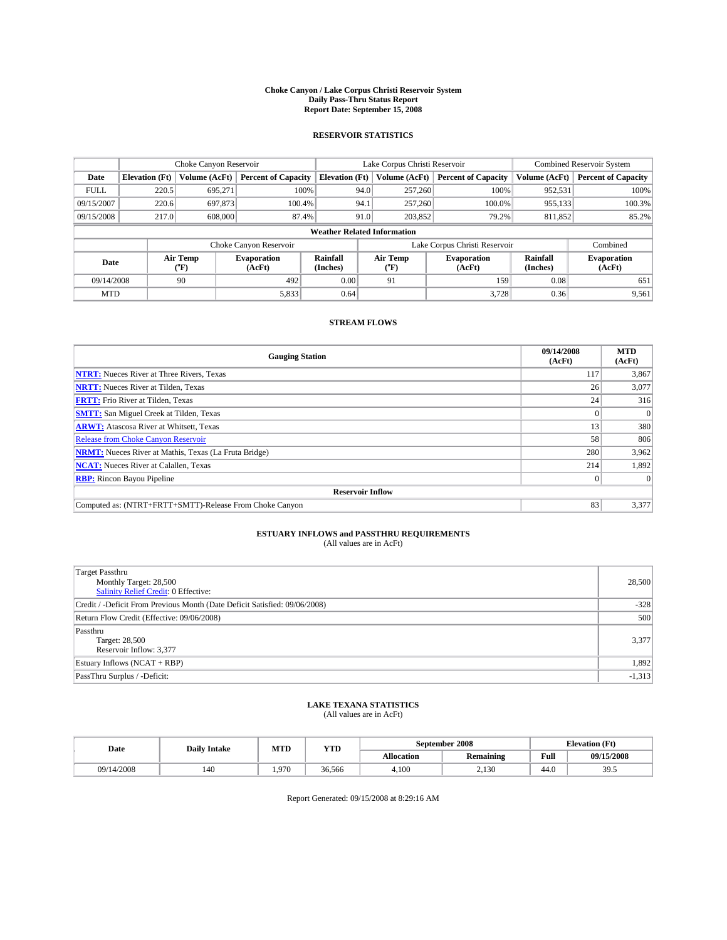#### **Choke Canyon / Lake Corpus Christi Reservoir System Daily Pass-Thru Status Report Report Date: September 15, 2008**

### **RESERVOIR STATISTICS**

|                                    | Choke Canyon Reservoir |                  |                              |                       | Lake Corpus Christi Reservoir |                  |                              |                      | <b>Combined Reservoir System</b> |  |
|------------------------------------|------------------------|------------------|------------------------------|-----------------------|-------------------------------|------------------|------------------------------|----------------------|----------------------------------|--|
| Date                               | <b>Elevation</b> (Ft)  | Volume (AcFt)    | <b>Percent of Capacity</b>   | <b>Elevation</b> (Ft) |                               | Volume (AcFt)    | <b>Percent of Capacity</b>   | Volume (AcFt)        | <b>Percent of Capacity</b>       |  |
| <b>FULL</b>                        | 220.5                  | 695.271          |                              | 100%                  | 94.0                          | 257,260          | 100%                         | 952,531              | 100%                             |  |
| 09/15/2007                         | 220.6                  | 697,873          | 100.4%                       |                       | 94.1                          | 257,260          | 100.0%                       | 955,133              | 100.3%                           |  |
| 09/15/2008                         | 217.0                  | 608,000          |                              | 87.4%<br>91.0         |                               | 203,852          | 79.2%                        | 811,852              | 85.2%                            |  |
| <b>Weather Related Information</b> |                        |                  |                              |                       |                               |                  |                              |                      |                                  |  |
|                                    |                        |                  | Choke Canyon Reservoir       |                       | Lake Corpus Christi Reservoir |                  |                              |                      | Combined                         |  |
| Date                               |                        | Air Temp<br>(°F) | <b>Evaporation</b><br>(AcFt) | Rainfall<br>(Inches)  |                               | Air Temp<br>("F) | <b>Evaporation</b><br>(AcFt) | Rainfall<br>(Inches) | <b>Evaporation</b><br>(AcFt)     |  |
| 09/14/2008                         |                        | 90               | 492                          | 0.00                  |                               | 91               | 159                          | 0.08                 | 651                              |  |
| <b>MTD</b>                         |                        |                  | 5,833                        | 0.64                  |                               |                  | 3,728                        | 0.36                 | 9,561                            |  |

### **STREAM FLOWS**

| <b>Gauging Station</b>                                       | 09/14/2008<br>(AcFt) | <b>MTD</b><br>(AcFt) |
|--------------------------------------------------------------|----------------------|----------------------|
| <b>NTRT:</b> Nueces River at Three Rivers, Texas             | 117                  | 3,867                |
| <b>NRTT:</b> Nueces River at Tilden, Texas                   | 26                   | 3,077                |
| <b>FRTT:</b> Frio River at Tilden, Texas                     | 24                   | 316                  |
| <b>SMTT:</b> San Miguel Creek at Tilden, Texas               |                      |                      |
| <b>ARWT:</b> Atascosa River at Whitsett, Texas               | 13                   | 380                  |
| <b>Release from Choke Canyon Reservoir</b>                   | 58                   | 806                  |
| <b>NRMT:</b> Nueces River at Mathis, Texas (La Fruta Bridge) | 280                  | 3,962                |
| <b>NCAT:</b> Nueces River at Calallen, Texas                 | 214                  | 1,892                |
| <b>RBP:</b> Rincon Bayou Pipeline                            | $\vert 0 \vert$      |                      |
| <b>Reservoir Inflow</b>                                      |                      |                      |
| Computed as: (NTRT+FRTT+SMTT)-Release From Choke Canyon      | 83                   | 3,377                |

# **ESTUARY INFLOWS and PASSTHRU REQUIREMENTS**<br>(All values are in AcFt)

| <b>Target Passthru</b><br>Monthly Target: 28,500<br><b>Salinity Relief Credit: 0 Effective:</b> | 28,500   |
|-------------------------------------------------------------------------------------------------|----------|
| Credit / -Deficit From Previous Month (Date Deficit Satisfied: 09/06/2008)                      | $-328$   |
| Return Flow Credit (Effective: 09/06/2008)                                                      | 500      |
| Passthru<br>Target: 28,500<br>Reservoir Inflow: 3,377                                           | 3,377    |
| Estuary Inflows (NCAT + RBP)                                                                    | 1,892    |
| PassThru Surplus / -Deficit:                                                                    | $-1,313$ |

## **LAKE TEXANA STATISTICS** (All values are in AcFt)

| Date       | <b>Daily Intake</b> | MTD   | YTD    |            | September 2008   | <b>Elevation</b> (Ft) |            |
|------------|---------------------|-------|--------|------------|------------------|-----------------------|------------|
|            |                     |       |        | Allocation | <b>Remaining</b> | Full                  | 09/15/2008 |
| 09/14/2008 | 140                 | 1.970 | 36.566 | 4.100      | 2.130<br>2.130   | 44.0                  | 39.5       |

Report Generated: 09/15/2008 at 8:29:16 AM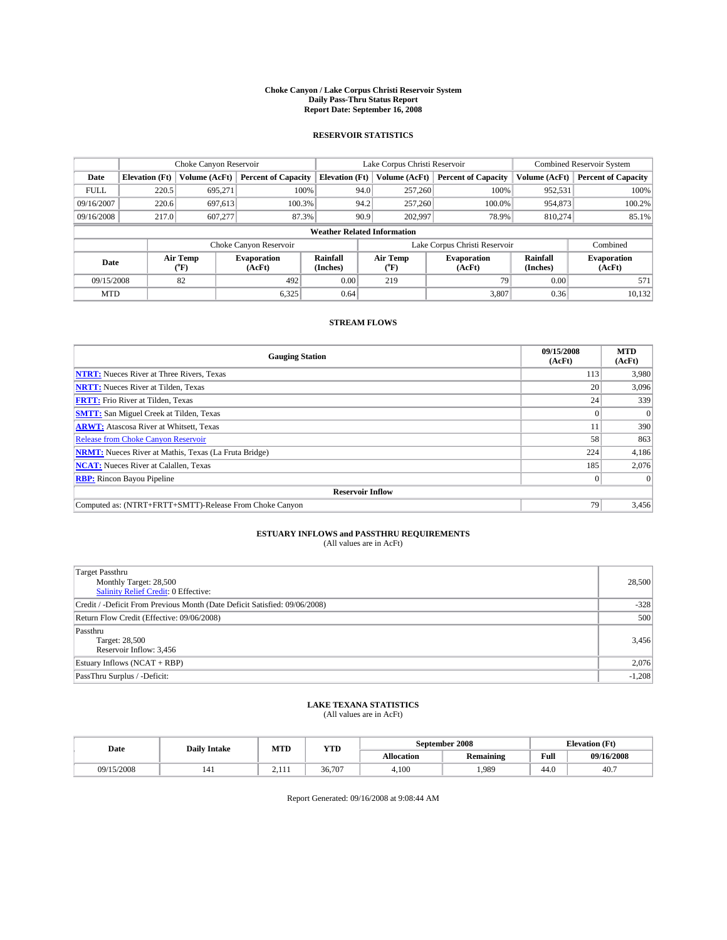#### **Choke Canyon / Lake Corpus Christi Reservoir System Daily Pass-Thru Status Report Report Date: September 16, 2008**

### **RESERVOIR STATISTICS**

|             |                                    |               | Lake Corpus Christi Reservoir |                       |                               |                  | <b>Combined Reservoir System</b> |                      |                              |
|-------------|------------------------------------|---------------|-------------------------------|-----------------------|-------------------------------|------------------|----------------------------------|----------------------|------------------------------|
| Date        | <b>Elevation</b> (Ft)              | Volume (AcFt) | <b>Percent of Capacity</b>    | <b>Elevation</b> (Ft) |                               | Volume (AcFt)    | <b>Percent of Capacity</b>       | Volume (AcFt)        | <b>Percent of Capacity</b>   |
| <b>FULL</b> | 220.5                              | 695,271       |                               | 100%                  | 94.0                          | 257,260          | 100%                             | 952,531              | 100%                         |
| 09/16/2007  | 220.6                              | 697.613       | 100.3%                        |                       | 94.2                          | 257,260          | 100.0%                           | 954,873              | 100.2%                       |
| 09/16/2008  | 217.0                              | 607.277       | 87.3%                         |                       | 90.9                          | 202,997          | 78.9%                            | 810.274              | 85.1%                        |
|             | <b>Weather Related Information</b> |               |                               |                       |                               |                  |                                  |                      |                              |
|             |                                    |               | Choke Canyon Reservoir        |                       | Lake Corpus Christi Reservoir |                  |                                  |                      | Combined                     |
|             | Air Temp<br>Date<br>(°F)           |               | <b>Evaporation</b><br>(AcFt)  | Rainfall<br>(Inches)  |                               | Air Temp<br>("F) | <b>Evaporation</b><br>(AcFt)     | Rainfall<br>(Inches) | <b>Evaporation</b><br>(AcFt) |
| 09/15/2008  |                                    | 82            | 492                           | 0.00                  |                               | 219              | 79                               | 0.00                 | 571                          |
| <b>MTD</b>  |                                    |               | 6,325                         | 0.64                  |                               |                  | 3,807                            | 0.36                 | 10,132                       |

### **STREAM FLOWS**

| <b>Gauging Station</b>                                       | 09/15/2008<br>(AcFt) | <b>MTD</b><br>(AcFt) |  |  |  |  |  |
|--------------------------------------------------------------|----------------------|----------------------|--|--|--|--|--|
| <b>NTRT:</b> Nueces River at Three Rivers, Texas             | 113                  | 3,980                |  |  |  |  |  |
| <b>NRTT:</b> Nueces River at Tilden, Texas                   | 20                   | 3,096                |  |  |  |  |  |
| <b>FRTT:</b> Frio River at Tilden, Texas                     | 24 <sub>1</sub>      | 339                  |  |  |  |  |  |
| <b>SMTT:</b> San Miguel Creek at Tilden, Texas               |                      |                      |  |  |  |  |  |
| <b>ARWT:</b> Atascosa River at Whitsett, Texas               | 11                   | 390                  |  |  |  |  |  |
| <b>Release from Choke Canyon Reservoir</b>                   | 58                   | 863                  |  |  |  |  |  |
| <b>NRMT:</b> Nueces River at Mathis, Texas (La Fruta Bridge) | 224                  | 4,186                |  |  |  |  |  |
| <b>NCAT:</b> Nueces River at Calallen, Texas                 | 185                  | 2,076                |  |  |  |  |  |
| <b>RBP:</b> Rincon Bayou Pipeline                            | $\overline{0}$       |                      |  |  |  |  |  |
| <b>Reservoir Inflow</b>                                      |                      |                      |  |  |  |  |  |
| Computed as: (NTRT+FRTT+SMTT)-Release From Choke Canyon      | 79                   | 3,456                |  |  |  |  |  |

# **ESTUARY INFLOWS and PASSTHRU REQUIREMENTS**<br>(All values are in AcFt)

| <b>Target Passthru</b><br>Monthly Target: 28,500<br>Salinity Relief Credit: 0 Effective: | 28,500   |
|------------------------------------------------------------------------------------------|----------|
| Credit / -Deficit From Previous Month (Date Deficit Satisfied: 09/06/2008)               | $-328$   |
| Return Flow Credit (Effective: 09/06/2008)                                               | 500      |
| Passthru<br>Target: 28,500<br>Reservoir Inflow: 3,456                                    | 3,456    |
| Estuary Inflows (NCAT + RBP)                                                             | 2,076    |
| PassThru Surplus / -Deficit:                                                             | $-1,208$ |

## **LAKE TEXANA STATISTICS** (All values are in AcFt)

| Date       | <b>Daily Intake</b> | MTD              | YTD    |            | September 2008   | <b>Elevation</b> (Ft) |            |
|------------|---------------------|------------------|--------|------------|------------------|-----------------------|------------|
|            |                     |                  |        | Allocation | <b>Remaining</b> | Full                  | 09/16/2008 |
| 09/15/2008 | 141                 | $\sim$<br>$-111$ | 36,707 | 4.100      | .989             | 44.0                  | 40.7       |

Report Generated: 09/16/2008 at 9:08:44 AM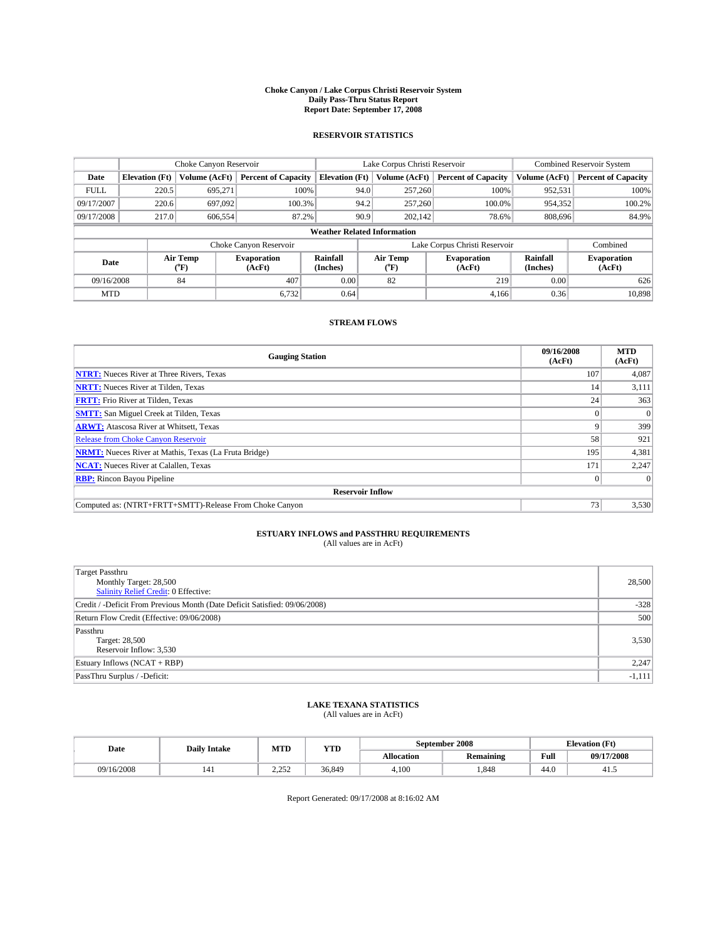#### **Choke Canyon / Lake Corpus Christi Reservoir System Daily Pass-Thru Status Report Report Date: September 17, 2008**

### **RESERVOIR STATISTICS**

|             | Choke Canyon Reservoir             |               | Lake Corpus Christi Reservoir |                       |                               |                  | <b>Combined Reservoir System</b> |                      |                              |
|-------------|------------------------------------|---------------|-------------------------------|-----------------------|-------------------------------|------------------|----------------------------------|----------------------|------------------------------|
| Date        | <b>Elevation</b> (Ft)              | Volume (AcFt) | <b>Percent of Capacity</b>    | <b>Elevation</b> (Ft) |                               | Volume (AcFt)    | <b>Percent of Capacity</b>       | Volume (AcFt)        | <b>Percent of Capacity</b>   |
| <b>FULL</b> | 220.5                              | 695,271       |                               | 100%                  | 94.0                          | 257,260          | 100%                             | 952,531              | 100%                         |
| 09/17/2007  | 220.6                              | 697.092       | 100.3%                        |                       | 94.2                          | 257,260          | 100.0%                           | 954,352              | 100.2%                       |
| 09/17/2008  | 217.0                              | 606,554       | 87.2%                         |                       | 90.9                          | 202,142          | 78.6%                            | 808,696              | 84.9%                        |
|             | <b>Weather Related Information</b> |               |                               |                       |                               |                  |                                  |                      |                              |
|             |                                    |               | Choke Canyon Reservoir        |                       | Lake Corpus Christi Reservoir |                  |                                  |                      | Combined                     |
|             | Air Temp<br>Date<br>(°F)           |               | <b>Evaporation</b><br>(AcFt)  | Rainfall<br>(Inches)  |                               | Air Temp<br>("F) | <b>Evaporation</b><br>(AcFt)     | Rainfall<br>(Inches) | <b>Evaporation</b><br>(AcFt) |
| 09/16/2008  |                                    | 84            | 407                           | 0.00                  |                               | 82               | 219                              | 0.00                 | 626                          |
| <b>MTD</b>  |                                    |               | 6,732                         | 0.64                  |                               |                  | 4,166                            | 0.36                 | 10,898                       |

### **STREAM FLOWS**

| <b>Gauging Station</b>                                       | 09/16/2008<br>(AcFt) | <b>MTD</b><br>(AcFt) |
|--------------------------------------------------------------|----------------------|----------------------|
| <b>NTRT:</b> Nueces River at Three Rivers, Texas             | 107                  | 4,087                |
| <b>NRTT:</b> Nueces River at Tilden, Texas                   | 14                   | 3,111                |
| <b>FRTT:</b> Frio River at Tilden, Texas                     | 24                   | 363                  |
| <b>SMTT:</b> San Miguel Creek at Tilden, Texas               |                      |                      |
| <b>ARWT:</b> Atascosa River at Whitsett, Texas               | 9                    | 399                  |
| <b>Release from Choke Canyon Reservoir</b>                   | 58                   | 921                  |
| <b>NRMT:</b> Nueces River at Mathis, Texas (La Fruta Bridge) | 195                  | 4,381                |
| <b>NCAT:</b> Nueces River at Calallen, Texas                 | 171                  | 2,247                |
| <b>RBP:</b> Rincon Bayou Pipeline                            | $\vert 0 \vert$      |                      |
| <b>Reservoir Inflow</b>                                      |                      |                      |
| Computed as: (NTRT+FRTT+SMTT)-Release From Choke Canyon      | 73 <sub>1</sub>      | 3,530                |

# **ESTUARY INFLOWS and PASSTHRU REQUIREMENTS**<br>(All values are in AcFt)

| <b>Target Passthru</b><br>Monthly Target: 28,500<br><b>Salinity Relief Credit: 0 Effective:</b> | 28,500   |
|-------------------------------------------------------------------------------------------------|----------|
| Credit / -Deficit From Previous Month (Date Deficit Satisfied: 09/06/2008)                      | $-328$   |
| Return Flow Credit (Effective: 09/06/2008)                                                      | 500      |
| Passthru<br>Target: 28,500<br>Reservoir Inflow: 3,530                                           | 3,530    |
| Estuary Inflows (NCAT + RBP)                                                                    | 2,247    |
| PassThru Surplus / -Deficit:                                                                    | $-1,111$ |

# **LAKE TEXANA STATISTICS** (All values are in AcFt)

| Date       | <b>Daily Intake</b> | MTD             | YTD    |            | September 2008   | <b>Elevation</b> (Ft) |            |
|------------|---------------------|-----------------|--------|------------|------------------|-----------------------|------------|
|            |                     |                 |        | Allocation | <b>Remaining</b> | Full                  | 09/17/2008 |
| 09/16/2008 | 141                 | າ າ າ<br>ے بے د | 36.849 | 4.100      | .848             | 44.0                  | 41.        |

Report Generated: 09/17/2008 at 8:16:02 AM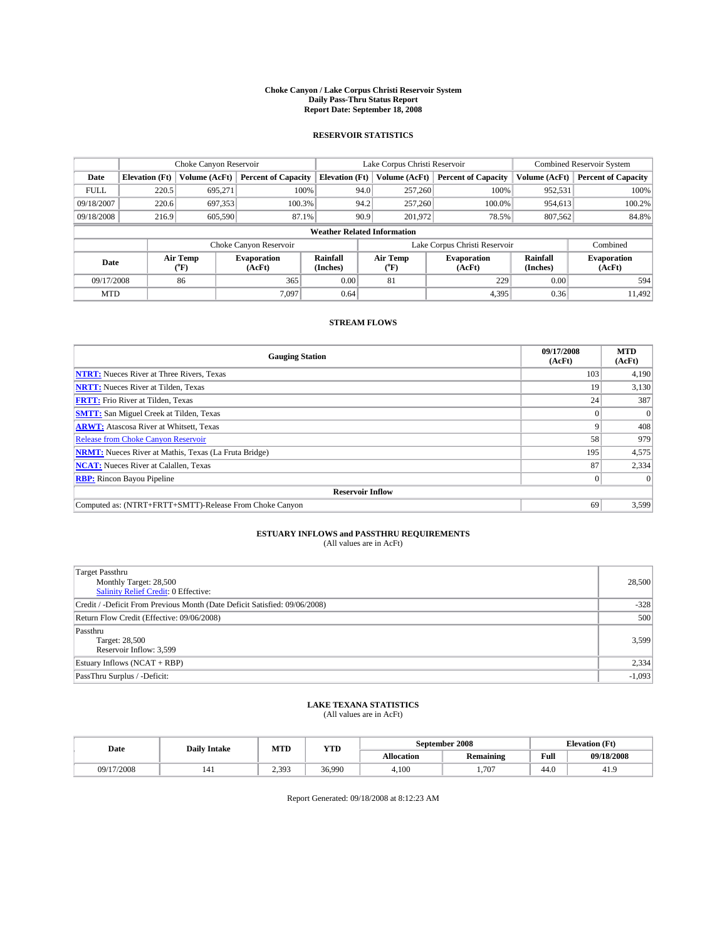#### **Choke Canyon / Lake Corpus Christi Reservoir System Daily Pass-Thru Status Report Report Date: September 18, 2008**

### **RESERVOIR STATISTICS**

|             | Choke Canyon Reservoir             |               | Lake Corpus Christi Reservoir |                       |                               |                  | <b>Combined Reservoir System</b> |                      |                              |
|-------------|------------------------------------|---------------|-------------------------------|-----------------------|-------------------------------|------------------|----------------------------------|----------------------|------------------------------|
| Date        | <b>Elevation</b> (Ft)              | Volume (AcFt) | <b>Percent of Capacity</b>    | <b>Elevation</b> (Ft) |                               | Volume (AcFt)    | <b>Percent of Capacity</b>       | Volume (AcFt)        | <b>Percent of Capacity</b>   |
| <b>FULL</b> | 220.5                              | 695,271       | 100%                          |                       | 94.0                          | 257,260          | 100%                             | 952,531              | 100%                         |
| 09/18/2007  | 220.6                              | 697,353       | 100.3%                        |                       | 94.2                          | 257,260          | 100.0%                           | 954.613              | 100.2%                       |
| 09/18/2008  | 216.9                              | 605,590       | 87.1%                         |                       | 90.9                          | 201,972          | 78.5%                            | 807,562              | 84.8%                        |
|             | <b>Weather Related Information</b> |               |                               |                       |                               |                  |                                  |                      |                              |
|             |                                    |               | Choke Canyon Reservoir        |                       | Lake Corpus Christi Reservoir |                  |                                  |                      | Combined                     |
|             | Air Temp<br>Date<br>(°F)           |               | <b>Evaporation</b><br>(AcFt)  | Rainfall<br>(Inches)  |                               | Air Temp<br>("F) | <b>Evaporation</b><br>(AcFt)     | Rainfall<br>(Inches) | <b>Evaporation</b><br>(AcFt) |
| 09/17/2008  |                                    | 86            | 365                           | 0.00                  |                               | 81               | 229                              | 0.00                 | 594                          |
| <b>MTD</b>  |                                    |               | 7.097                         | 0.64                  |                               |                  | 4,395                            | 0.36                 | 11.492                       |

### **STREAM FLOWS**

| <b>Gauging Station</b>                                       | 09/17/2008<br>(AcFt) | <b>MTD</b><br>(AcFt) |
|--------------------------------------------------------------|----------------------|----------------------|
| <b>NTRT:</b> Nueces River at Three Rivers, Texas             | 103                  | 4,190                |
| <b>NRTT:</b> Nueces River at Tilden, Texas                   | 19                   | 3,130                |
| <b>FRTT:</b> Frio River at Tilden, Texas                     | 24                   | 387                  |
| <b>SMTT:</b> San Miguel Creek at Tilden, Texas               |                      |                      |
| <b>ARWT:</b> Atascosa River at Whitsett, Texas               | 9                    | 408                  |
| <b>Release from Choke Canyon Reservoir</b>                   | 58                   | 979                  |
| <b>NRMT:</b> Nueces River at Mathis, Texas (La Fruta Bridge) | 195                  | 4,575                |
| <b>NCAT:</b> Nueces River at Calallen, Texas                 | 87                   | 2,334                |
| <b>RBP:</b> Rincon Bayou Pipeline                            | $\overline{0}$       |                      |
| <b>Reservoir Inflow</b>                                      |                      |                      |
| Computed as: (NTRT+FRTT+SMTT)-Release From Choke Canyon      | 69                   | 3,599                |

# **ESTUARY INFLOWS and PASSTHRU REQUIREMENTS**<br>(All values are in AcFt)

| Target Passthru                                                            |          |
|----------------------------------------------------------------------------|----------|
| Monthly Target: 28,500                                                     | 28,500   |
| <b>Salinity Relief Credit: 0 Effective:</b>                                |          |
| Credit / -Deficit From Previous Month (Date Deficit Satisfied: 09/06/2008) | $-328$   |
| Return Flow Credit (Effective: 09/06/2008)                                 | 500      |
| Passthru                                                                   |          |
| Target: 28,500                                                             | 3,599    |
| Reservoir Inflow: 3,599                                                    |          |
| Estuary Inflows (NCAT + RBP)                                               | 2,334    |
| PassThru Surplus / -Deficit:                                               | $-1,093$ |

# **LAKE TEXANA STATISTICS** (All values are in AcFt)

| Date       | <b>Daily Intake</b> | MTD   | YTD    |            | September 2008   | <b>Elevation</b> (Ft) |            |
|------------|---------------------|-------|--------|------------|------------------|-----------------------|------------|
|            |                     |       |        | Allocation | <b>Remaining</b> | Full                  | 09/18/2008 |
| 09/17/2008 | 141                 | 2.393 | 36.990 | 4.100      | 707              | 44.0                  | 41.9       |

Report Generated: 09/18/2008 at 8:12:23 AM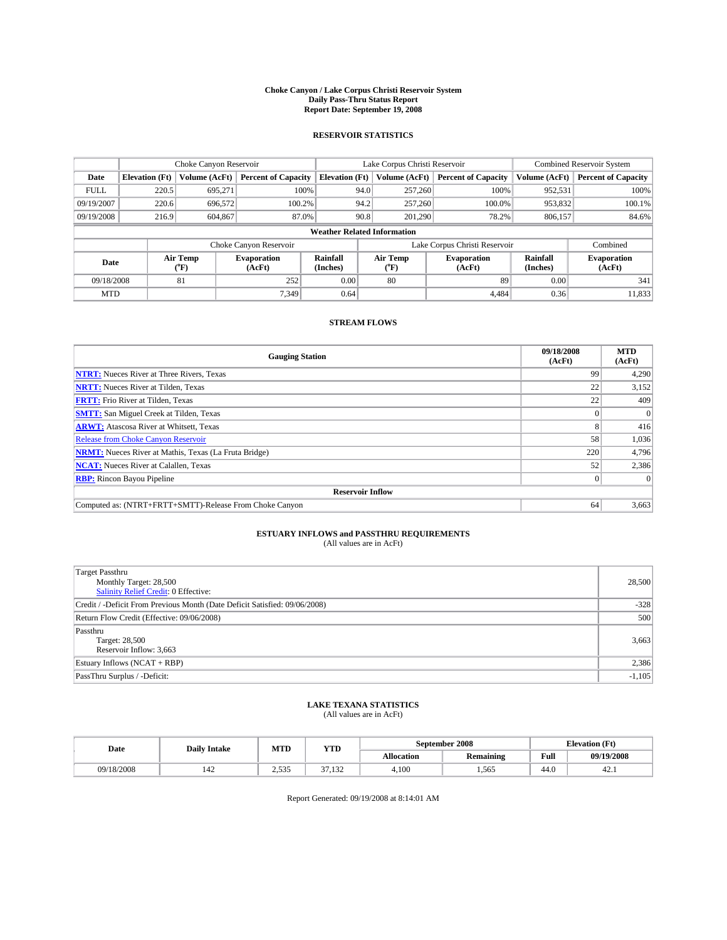#### **Choke Canyon / Lake Corpus Christi Reservoir System Daily Pass-Thru Status Report Report Date: September 19, 2008**

### **RESERVOIR STATISTICS**

|             | Choke Canyon Reservoir             |               | Lake Corpus Christi Reservoir |                                   |      |                  | <b>Combined Reservoir System</b> |                      |                              |  |
|-------------|------------------------------------|---------------|-------------------------------|-----------------------------------|------|------------------|----------------------------------|----------------------|------------------------------|--|
| Date        | <b>Elevation</b> (Ft)              | Volume (AcFt) | <b>Percent of Capacity</b>    | <b>Elevation</b> (Ft)             |      | Volume (AcFt)    | <b>Percent of Capacity</b>       | Volume (AcFt)        | <b>Percent of Capacity</b>   |  |
| <b>FULL</b> | 220.5                              | 695,271       |                               | 100%                              | 94.0 | 257,260          | 100%                             | 952,531              | 100%                         |  |
| 09/19/2007  | 220.6                              | 696,572       | 100.2%                        |                                   | 94.2 | 257,260          | 100.0%                           | 953,832              | 100.1%                       |  |
| 09/19/2008  | 216.9                              | 604,867       |                               | 90.8<br>87.0%<br>201,290<br>78.2% |      | 806,157          | 84.6%                            |                      |                              |  |
|             | <b>Weather Related Information</b> |               |                               |                                   |      |                  |                                  |                      |                              |  |
|             |                                    |               | Choke Canyon Reservoir        |                                   |      |                  | Lake Corpus Christi Reservoir    |                      | Combined                     |  |
|             | Air Temp<br>Date<br>(°F)           |               | <b>Evaporation</b><br>(AcFt)  | Rainfall<br>(Inches)              |      | Air Temp<br>("F) | <b>Evaporation</b><br>(AcFt)     | Rainfall<br>(Inches) | <b>Evaporation</b><br>(AcFt) |  |
| 09/18/2008  |                                    | 81            | 252                           | 0.00                              |      | 80               | 89                               | 0.00                 | 341                          |  |
| <b>MTD</b>  |                                    |               | 7.349                         | 0.64                              |      |                  | 4.484                            | 0.36                 | 11,833                       |  |

### **STREAM FLOWS**

| <b>Gauging Station</b>                                       | 09/18/2008<br>(AcFt) | <b>MTD</b><br>(AcFt) |
|--------------------------------------------------------------|----------------------|----------------------|
| <b>NTRT:</b> Nueces River at Three Rivers, Texas             | 99                   | 4,290                |
| <b>NRTT:</b> Nueces River at Tilden, Texas                   | 22                   | 3,152                |
| <b>FRTT:</b> Frio River at Tilden, Texas                     | 22                   | 409                  |
| <b>SMTT:</b> San Miguel Creek at Tilden, Texas               |                      |                      |
| <b>ARWT:</b> Atascosa River at Whitsett, Texas               | 8                    | 416                  |
| <b>Release from Choke Canyon Reservoir</b>                   | 58                   | 1,036                |
| <b>NRMT:</b> Nueces River at Mathis, Texas (La Fruta Bridge) | 220                  | 4,796                |
| <b>NCAT:</b> Nueces River at Calallen, Texas                 | 52                   | 2,386                |
| <b>RBP:</b> Rincon Bayou Pipeline                            | $\theta$             |                      |
| <b>Reservoir Inflow</b>                                      |                      |                      |
| Computed as: (NTRT+FRTT+SMTT)-Release From Choke Canyon      | 64                   | 3,663                |

# **ESTUARY INFLOWS and PASSTHRU REQUIREMENTS**<br>(All values are in AcFt)

| <b>Target Passthru</b><br>Monthly Target: 28,500<br><b>Salinity Relief Credit: 0 Effective:</b> | 28,500   |
|-------------------------------------------------------------------------------------------------|----------|
| Credit / -Deficit From Previous Month (Date Deficit Satisfied: 09/06/2008)                      | $-328$   |
| Return Flow Credit (Effective: 09/06/2008)                                                      | 500      |
| Passthru<br>Target: 28,500<br>Reservoir Inflow: 3,663                                           | 3,663    |
| Estuary Inflows (NCAT + RBP)                                                                    | 2,386    |
| PassThru Surplus / -Deficit:                                                                    | $-1,105$ |

## **LAKE TEXANA STATISTICS** (All values are in AcFt)

| Date       | <b>Daily Intake</b> | MTD            | YTD    |            | September 2008   | <b>Elevation</b> (Ft) |            |
|------------|---------------------|----------------|--------|------------|------------------|-----------------------|------------|
|            |                     |                |        | Allocation | <b>Remaining</b> | Full                  | 09/19/2008 |
| 09/18/2008 | $\Delta$<br>142     | 525<br>ر ر د د | 37.132 | 4.100      | .565             | 44.0                  | 42.1       |

Report Generated: 09/19/2008 at 8:14:01 AM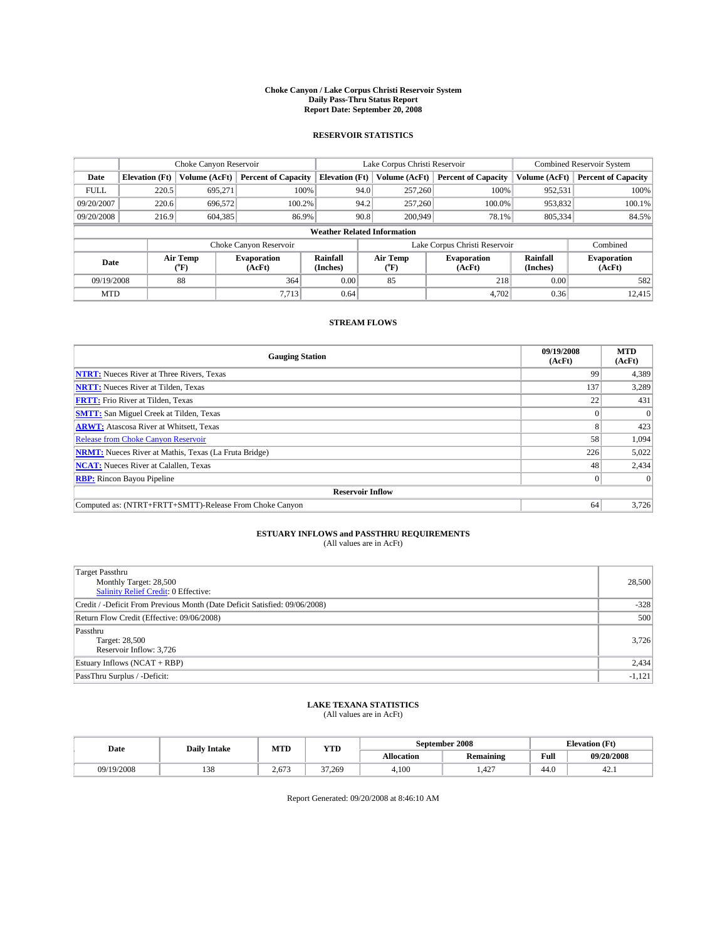#### **Choke Canyon / Lake Corpus Christi Reservoir System Daily Pass-Thru Status Report Report Date: September 20, 2008**

### **RESERVOIR STATISTICS**

|                          | Choke Canyon Reservoir             |               | Lake Corpus Christi Reservoir |                       |                               |                  | <b>Combined Reservoir System</b> |                      |                              |  |
|--------------------------|------------------------------------|---------------|-------------------------------|-----------------------|-------------------------------|------------------|----------------------------------|----------------------|------------------------------|--|
| Date                     | <b>Elevation</b> (Ft)              | Volume (AcFt) | <b>Percent of Capacity</b>    | <b>Elevation</b> (Ft) |                               | Volume (AcFt)    | <b>Percent of Capacity</b>       | Volume (AcFt)        | <b>Percent of Capacity</b>   |  |
| <b>FULL</b>              | 220.5                              | 695,271       |                               | 100%                  | 94.0                          | 257,260          | 100%                             | 952,531              | 100%                         |  |
| 09/20/2007               | 220.6                              | 696,572       | 100.2%                        |                       | 94.2                          | 257,260          | 100.0%                           | 953,832              | 100.1%                       |  |
| 09/20/2008               | 216.9                              | 604,385       | 86.9%                         |                       | 90.8                          |                  | 200,949<br>78.1%                 | 805,334              | 84.5%                        |  |
|                          | <b>Weather Related Information</b> |               |                               |                       |                               |                  |                                  |                      |                              |  |
|                          |                                    |               | Choke Canyon Reservoir        |                       | Lake Corpus Christi Reservoir |                  |                                  |                      | Combined                     |  |
| Air Temp<br>Date<br>(°F) |                                    |               | <b>Evaporation</b><br>(AcFt)  | Rainfall<br>(Inches)  |                               | Air Temp<br>("F) | <b>Evaporation</b><br>(AcFt)     | Rainfall<br>(Inches) | <b>Evaporation</b><br>(AcFt) |  |
| 09/19/2008               |                                    | 88            | 364                           | 0.00                  |                               | 85               | 218                              | 0.00                 | 582                          |  |
| <b>MTD</b>               |                                    |               | 7,713                         | 0.64                  |                               |                  | 4,702                            | 0.36                 | 12,415                       |  |

### **STREAM FLOWS**

| <b>Gauging Station</b>                                       | 09/19/2008<br>(AcFt) | <b>MTD</b><br>(AcFt) |
|--------------------------------------------------------------|----------------------|----------------------|
| <b>NTRT:</b> Nueces River at Three Rivers, Texas             | 99                   | 4,389                |
| <b>NRTT:</b> Nueces River at Tilden, Texas                   | 137                  | 3,289                |
| <b>FRTT:</b> Frio River at Tilden, Texas                     | 22                   | 431                  |
| <b>SMTT:</b> San Miguel Creek at Tilden, Texas               |                      |                      |
| <b>ARWT:</b> Atascosa River at Whitsett, Texas               | 8                    | 423                  |
| <b>Release from Choke Canyon Reservoir</b>                   | 58                   | 1,094                |
| <b>NRMT:</b> Nueces River at Mathis, Texas (La Fruta Bridge) | 226                  | 5,022                |
| <b>NCAT:</b> Nueces River at Calallen, Texas                 | 48                   | 2,434                |
| <b>RBP:</b> Rincon Bayou Pipeline                            | $\vert 0 \vert$      |                      |
| <b>Reservoir Inflow</b>                                      |                      |                      |
| Computed as: (NTRT+FRTT+SMTT)-Release From Choke Canyon      | 64                   | 3,726                |

# **ESTUARY INFLOWS and PASSTHRU REQUIREMENTS**<br>(All values are in AcFt)

| <b>Target Passthru</b><br>Monthly Target: 28,500<br><b>Salinity Relief Credit: 0 Effective:</b> | 28,500   |
|-------------------------------------------------------------------------------------------------|----------|
| Credit / -Deficit From Previous Month (Date Deficit Satisfied: 09/06/2008)                      | $-328$   |
| Return Flow Credit (Effective: 09/06/2008)                                                      | 500      |
| Passthru<br>Target: 28,500<br>Reservoir Inflow: 3,726                                           | 3,726    |
| Estuary Inflows (NCAT + RBP)                                                                    | 2,434    |
| PassThru Surplus / -Deficit:                                                                    | $-1,121$ |

## **LAKE TEXANA STATISTICS** (All values are in AcFt)

| Date       | <b>Daily Intake</b> | MTD          | YTD    |            | September 2008   | <b>Elevation</b> (Ft) |            |
|------------|---------------------|--------------|--------|------------|------------------|-----------------------|------------|
|            |                     |              |        | Allocation | <b>Remaining</b> | Full                  | 09/20/2008 |
| 09/19/2008 | 138                 | 672<br>2.01. | 37.269 | 4.100      | 407<br>.42       | 44.0                  | 42.1       |

Report Generated: 09/20/2008 at 8:46:10 AM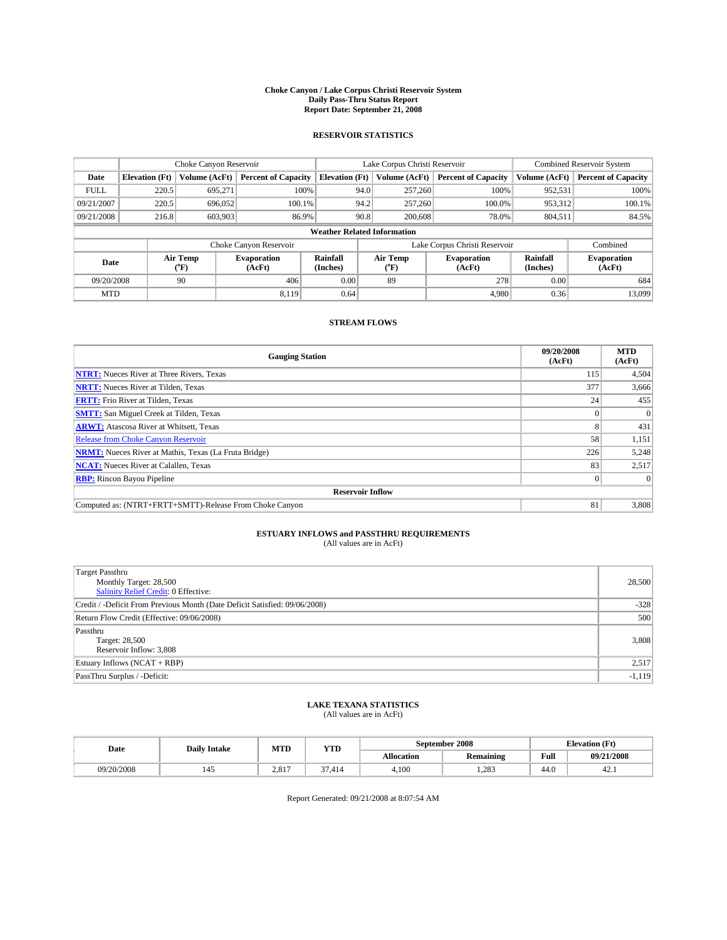#### **Choke Canyon / Lake Corpus Christi Reservoir System Daily Pass-Thru Status Report Report Date: September 21, 2008**

### **RESERVOIR STATISTICS**

|                          | Choke Canyon Reservoir             |               | Lake Corpus Christi Reservoir |                       |                               |                  | <b>Combined Reservoir System</b> |                      |                              |  |
|--------------------------|------------------------------------|---------------|-------------------------------|-----------------------|-------------------------------|------------------|----------------------------------|----------------------|------------------------------|--|
| Date                     | <b>Elevation</b> (Ft)              | Volume (AcFt) | <b>Percent of Capacity</b>    | <b>Elevation</b> (Ft) |                               | Volume (AcFt)    | <b>Percent of Capacity</b>       | Volume (AcFt)        | <b>Percent of Capacity</b>   |  |
| <b>FULL</b>              | 220.5                              | 695,271       |                               | 100%                  | 94.0                          | 257,260          | 100%                             | 952,531              | 100%                         |  |
| 09/21/2007               | 220.5                              | 696,052       | $100.1\%$                     |                       | 94.2                          | 257,260          | 100.0%                           | 953,312              | 100.1%                       |  |
| 09/21/2008               | 216.8                              | 603,903       | 86.9%                         |                       | 90.8                          | 200,608          | 78.0%                            | 804,511              | 84.5%                        |  |
|                          | <b>Weather Related Information</b> |               |                               |                       |                               |                  |                                  |                      |                              |  |
|                          |                                    |               | Choke Canyon Reservoir        |                       | Lake Corpus Christi Reservoir |                  |                                  |                      | Combined                     |  |
| Air Temp<br>Date<br>(°F) |                                    |               | <b>Evaporation</b><br>(AcFt)  | Rainfall<br>(Inches)  |                               | Air Temp<br>("F) | <b>Evaporation</b><br>(AcFt)     | Rainfall<br>(Inches) | <b>Evaporation</b><br>(AcFt) |  |
| 09/20/2008               |                                    | 90            | 406                           | 0.00                  |                               | 89               | 278                              | 0.00                 | 684                          |  |
| <b>MTD</b>               |                                    |               | 8.119                         | 0.64                  |                               |                  | 4.980                            | 0.36                 | 13,099                       |  |

### **STREAM FLOWS**

| <b>Gauging Station</b>                                       | 09/20/2008<br>(AcFt) | <b>MTD</b><br>(AcFt) |
|--------------------------------------------------------------|----------------------|----------------------|
| <b>NTRT:</b> Nueces River at Three Rivers, Texas             | 115                  | 4,504                |
| <b>NRTT:</b> Nueces River at Tilden, Texas                   | 377                  | 3,666                |
| <b>FRTT:</b> Frio River at Tilden, Texas                     | 24 <sub>1</sub>      | 455                  |
| <b>SMTT:</b> San Miguel Creek at Tilden, Texas               |                      |                      |
| <b>ARWT:</b> Atascosa River at Whitsett, Texas               | 8                    | 431                  |
| <b>Release from Choke Canyon Reservoir</b>                   | 58                   | 1,151                |
| <b>NRMT:</b> Nueces River at Mathis, Texas (La Fruta Bridge) | 226                  | 5,248                |
| <b>NCAT:</b> Nueces River at Calallen, Texas                 | 83                   | 2,517                |
| <b>RBP:</b> Rincon Bayou Pipeline                            | $\overline{0}$       |                      |
| <b>Reservoir Inflow</b>                                      |                      |                      |
| Computed as: (NTRT+FRTT+SMTT)-Release From Choke Canyon      | 81                   | 3,808                |

# **ESTUARY INFLOWS and PASSTHRU REQUIREMENTS**<br>(All values are in AcFt)

| Target Passthru<br>Monthly Target: 28,500<br><b>Salinity Relief Credit: 0 Effective:</b> | 28,500   |
|------------------------------------------------------------------------------------------|----------|
| Credit / -Deficit From Previous Month (Date Deficit Satisfied: 09/06/2008)               | $-328$   |
| Return Flow Credit (Effective: 09/06/2008)                                               | 500      |
| Passthru<br>Target: 28,500<br>Reservoir Inflow: 3,808                                    | 3,808    |
| Estuary Inflows (NCAT + RBP)                                                             | 2,517    |
| PassThru Surplus / -Deficit:                                                             | $-1,119$ |

# **LAKE TEXANA STATISTICS** (All values are in AcFt)

| Date       | <b>Daily Intake</b> | MTD   | <b>YTD</b>       |            | September 2008   | <b>Elevation</b> (Ft) |            |
|------------|---------------------|-------|------------------|------------|------------------|-----------------------|------------|
|            |                     |       |                  | Allocation | <b>Remaining</b> | Full                  | 09/21/2008 |
| 09/20/2008 |                     | 2.817 | $\sim$<br>37.414 | 4,100      | .283             | 44.0                  | 42.1       |

Report Generated: 09/21/2008 at 8:07:54 AM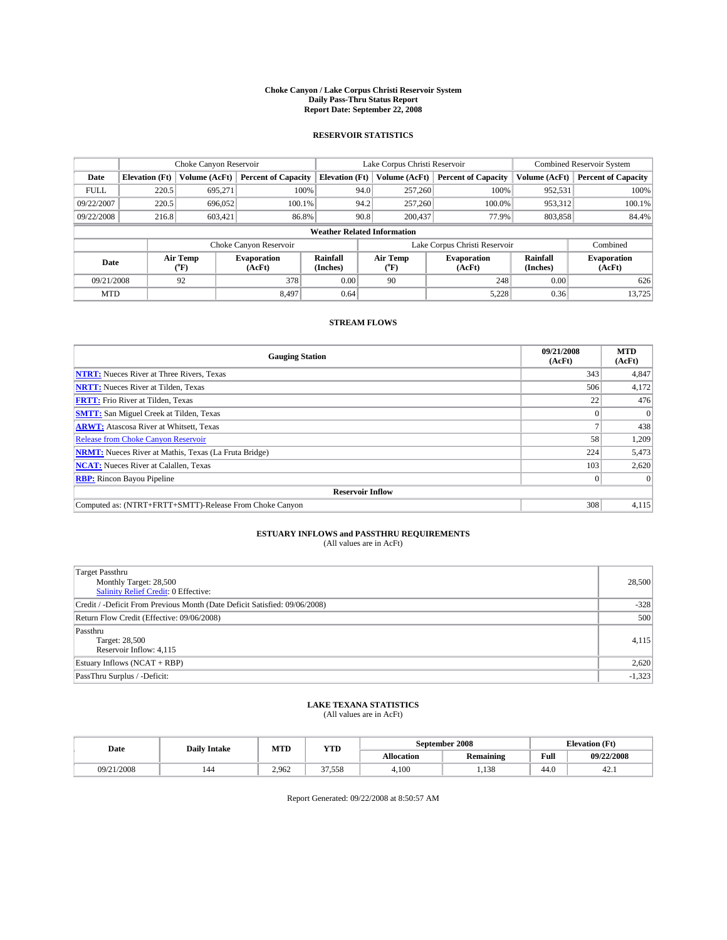#### **Choke Canyon / Lake Corpus Christi Reservoir System Daily Pass-Thru Status Report Report Date: September 22, 2008**

### **RESERVOIR STATISTICS**

|             | Choke Canyon Reservoir             |                  |                              |                       | Lake Corpus Christi Reservoir |                  |                              |                      | <b>Combined Reservoir System</b> |  |
|-------------|------------------------------------|------------------|------------------------------|-----------------------|-------------------------------|------------------|------------------------------|----------------------|----------------------------------|--|
| Date        | <b>Elevation</b> (Ft)              | Volume (AcFt)    | <b>Percent of Capacity</b>   | <b>Elevation</b> (Ft) |                               | Volume (AcFt)    | <b>Percent of Capacity</b>   | Volume (AcFt)        | <b>Percent of Capacity</b>       |  |
| <b>FULL</b> | 220.5                              | 695.271          | 100%                         |                       | 94.0                          | 257,260          | 100%                         | 952,531              | 100%                             |  |
| 09/22/2007  | 220.5                              | 696,052          | 100.1%                       |                       | 94.2                          | 257,260          | 100.0%                       | 953,312              | 100.1%                           |  |
| 09/22/2008  | 216.8                              | 603,421          | 86.8%                        |                       | 90.8                          | 200,437          | 77.9%                        | 803,858              | 84.4%                            |  |
|             | <b>Weather Related Information</b> |                  |                              |                       |                               |                  |                              |                      |                                  |  |
|             |                                    |                  | Choke Canyon Reservoir       |                       | Lake Corpus Christi Reservoir |                  |                              |                      | Combined                         |  |
| Date        |                                    | Air Temp<br>(°F) | <b>Evaporation</b><br>(AcFt) | Rainfall<br>(Inches)  |                               | Air Temp<br>("F) | <b>Evaporation</b><br>(AcFt) | Rainfall<br>(Inches) | <b>Evaporation</b><br>(AcFt)     |  |
| 09/21/2008  |                                    | 92               | 378                          | 0.00                  |                               | 90               | 248                          | 0.00                 | 626                              |  |
| <b>MTD</b>  |                                    |                  | 8.497                        | 0.64                  |                               |                  | 5,228                        | 0.36                 | 13,725                           |  |

### **STREAM FLOWS**

| <b>Gauging Station</b>                                       | 09/21/2008<br>(AcFt) | <b>MTD</b><br>(AcFt) |  |  |  |  |  |
|--------------------------------------------------------------|----------------------|----------------------|--|--|--|--|--|
| <b>NTRT:</b> Nueces River at Three Rivers, Texas             | 343                  | 4,847                |  |  |  |  |  |
| <b>NRTT:</b> Nueces River at Tilden, Texas                   | 506                  | 4,172                |  |  |  |  |  |
| <b>FRTT:</b> Frio River at Tilden, Texas                     | 22                   | 476                  |  |  |  |  |  |
| <b>SMTT:</b> San Miguel Creek at Tilden, Texas               |                      |                      |  |  |  |  |  |
| <b>ARWT:</b> Atascosa River at Whitsett, Texas               |                      | 438                  |  |  |  |  |  |
| <b>Release from Choke Canyon Reservoir</b>                   | 58                   | 1,209                |  |  |  |  |  |
| <b>NRMT:</b> Nueces River at Mathis, Texas (La Fruta Bridge) | 224                  | 5,473                |  |  |  |  |  |
| <b>NCAT:</b> Nueces River at Calallen, Texas                 | 103                  | 2,620                |  |  |  |  |  |
| <b>RBP:</b> Rincon Bayou Pipeline                            | $\overline{0}$       |                      |  |  |  |  |  |
| <b>Reservoir Inflow</b>                                      |                      |                      |  |  |  |  |  |
| Computed as: (NTRT+FRTT+SMTT)-Release From Choke Canyon      | 308                  | 4,115                |  |  |  |  |  |

# **ESTUARY INFLOWS and PASSTHRU REQUIREMENTS**<br>(All values are in AcFt)

| <b>Target Passthru</b><br>Monthly Target: 28,500<br>Salinity Relief Credit: 0 Effective: | 28,500   |
|------------------------------------------------------------------------------------------|----------|
| Credit / -Deficit From Previous Month (Date Deficit Satisfied: 09/06/2008)               | $-328$   |
| Return Flow Credit (Effective: 09/06/2008)                                               | 500      |
| Passthru<br>Target: 28,500<br>Reservoir Inflow: 4,115                                    | 4,115    |
| Estuary Inflows (NCAT + RBP)                                                             | 2,620    |
| PassThru Surplus / -Deficit:                                                             | $-1,323$ |

## **LAKE TEXANA STATISTICS** (All values are in AcFt)

| Date       | <b>Daily Intake</b> | MTD   | YTD    |            | September 2008   | <b>Elevation</b> (Ft) |            |
|------------|---------------------|-------|--------|------------|------------------|-----------------------|------------|
|            |                     |       |        | Allocation | <b>Remaining</b> | Full                  | 09/22/2008 |
| 09/21/2008 | 144                 | 2.962 | 37.558 | 4.100      | 120<br>1,120     | 44.0                  | 42.1       |

Report Generated: 09/22/2008 at 8:50:57 AM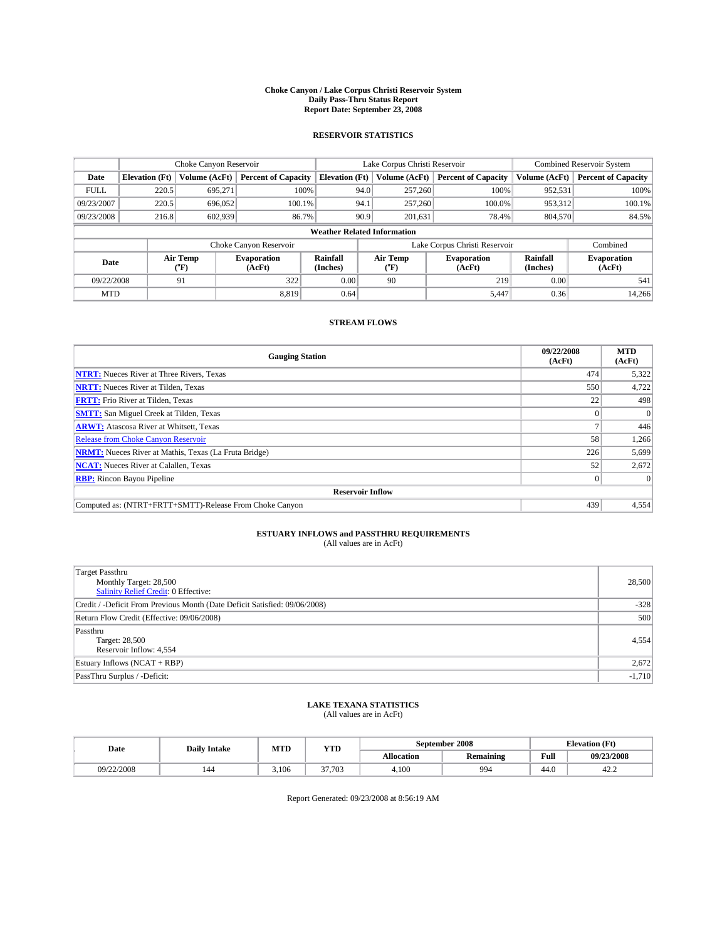#### **Choke Canyon / Lake Corpus Christi Reservoir System Daily Pass-Thru Status Report Report Date: September 23, 2008**

### **RESERVOIR STATISTICS**

|             | Choke Canyon Reservoir             |                  | Lake Corpus Christi Reservoir |                       |                               |                  | <b>Combined Reservoir System</b> |                      |                              |
|-------------|------------------------------------|------------------|-------------------------------|-----------------------|-------------------------------|------------------|----------------------------------|----------------------|------------------------------|
| Date        | <b>Elevation</b> (Ft)              | Volume (AcFt)    | <b>Percent of Capacity</b>    | <b>Elevation</b> (Ft) |                               | Volume (AcFt)    | <b>Percent of Capacity</b>       | Volume (AcFt)        | <b>Percent of Capacity</b>   |
| <b>FULL</b> | 220.5                              | 695,271          |                               | 100%                  | 94.0                          | 257,260          | 100%                             | 952,531              | 100%                         |
| 09/23/2007  | 220.5                              | 696,052          | $100.1\%$                     |                       | 94.1                          | 257,260          | 100.0%                           | 953,312              | 100.1%                       |
| 09/23/2008  | 216.8                              | 602,939          | 86.7%                         |                       | 90.9                          | 201,631          | 78.4%                            | 804,570              | 84.5%                        |
|             | <b>Weather Related Information</b> |                  |                               |                       |                               |                  |                                  |                      |                              |
|             |                                    |                  | Choke Canyon Reservoir        |                       | Lake Corpus Christi Reservoir |                  |                                  |                      | Combined                     |
| Date        |                                    | Air Temp<br>(°F) | <b>Evaporation</b><br>(AcFt)  | Rainfall<br>(Inches)  |                               | Air Temp<br>("F) | <b>Evaporation</b><br>(AcFt)     | Rainfall<br>(Inches) | <b>Evaporation</b><br>(AcFt) |
| 09/22/2008  |                                    | 91               | 322                           | 0.00                  |                               | 90               | 219                              | 0.00                 | 541                          |
| <b>MTD</b>  |                                    |                  | 8.819                         | 0.64                  |                               |                  | 5,447                            | 0.36                 | 14,266                       |

### **STREAM FLOWS**

| <b>Gauging Station</b>                                       | 09/22/2008<br>(AcFt) | <b>MTD</b><br>(AcFt) |  |  |  |  |  |
|--------------------------------------------------------------|----------------------|----------------------|--|--|--|--|--|
| <b>NTRT:</b> Nueces River at Three Rivers, Texas             | 474                  | 5,322                |  |  |  |  |  |
| <b>NRTT:</b> Nueces River at Tilden, Texas                   | 550                  | 4,722                |  |  |  |  |  |
| <b>FRTT:</b> Frio River at Tilden, Texas                     | 22                   | 498                  |  |  |  |  |  |
| <b>SMTT:</b> San Miguel Creek at Tilden, Texas               |                      |                      |  |  |  |  |  |
| <b>ARWT:</b> Atascosa River at Whitsett, Texas               |                      | 446                  |  |  |  |  |  |
| <b>Release from Choke Canyon Reservoir</b>                   | 58                   | 1,266                |  |  |  |  |  |
| <b>NRMT:</b> Nueces River at Mathis, Texas (La Fruta Bridge) | 226                  | 5,699                |  |  |  |  |  |
| <b>NCAT:</b> Nueces River at Calallen, Texas                 | 52                   | 2,672                |  |  |  |  |  |
| <b>RBP:</b> Rincon Bayou Pipeline                            | $\vert 0 \vert$      |                      |  |  |  |  |  |
| <b>Reservoir Inflow</b>                                      |                      |                      |  |  |  |  |  |
| Computed as: (NTRT+FRTT+SMTT)-Release From Choke Canyon      | 439                  | 4,554                |  |  |  |  |  |

# **ESTUARY INFLOWS and PASSTHRU REQUIREMENTS**<br>(All values are in AcFt)

| <b>Target Passthru</b><br>Monthly Target: 28,500<br><b>Salinity Relief Credit: 0 Effective:</b> | 28,500   |
|-------------------------------------------------------------------------------------------------|----------|
| Credit / -Deficit From Previous Month (Date Deficit Satisfied: 09/06/2008)                      | $-328$   |
| Return Flow Credit (Effective: 09/06/2008)                                                      | 500      |
| Passthru<br>Target: 28,500<br>Reservoir Inflow: 4,554                                           | 4,554    |
| Estuary Inflows (NCAT + RBP)                                                                    | 2,672    |
| PassThru Surplus / -Deficit:                                                                    | $-1,710$ |

## **LAKE TEXANA STATISTICS** (All values are in AcFt)

| Date       | <b>Daily Intake</b> | MTD   | YTD    |            | September 2008   | <b>Elevation</b> (Ft) |            |
|------------|---------------------|-------|--------|------------|------------------|-----------------------|------------|
|            |                     |       |        | Allocation | <b>Remaining</b> | Full                  | 09/23/2008 |
| 09/22/2008 | 144                 | 3.106 | 37.703 | 4.100      | 994              | 44.0                  | 42.2       |

Report Generated: 09/23/2008 at 8:56:19 AM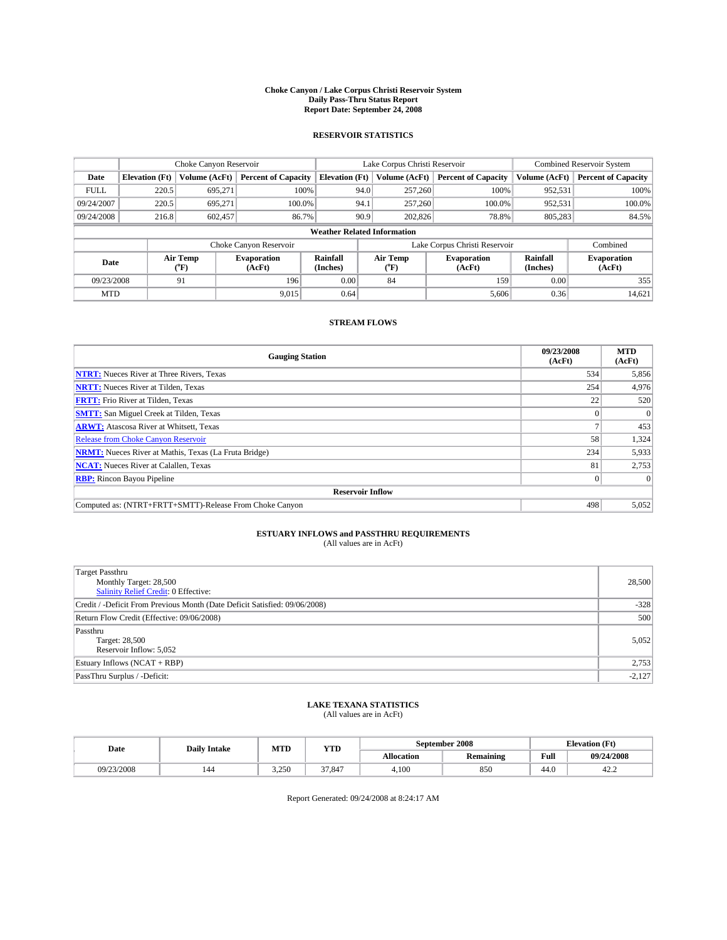#### **Choke Canyon / Lake Corpus Christi Reservoir System Daily Pass-Thru Status Report Report Date: September 24, 2008**

### **RESERVOIR STATISTICS**

|             | Choke Canyon Reservoir             |                  | Lake Corpus Christi Reservoir |                       |                               |                  | <b>Combined Reservoir System</b> |                      |                              |
|-------------|------------------------------------|------------------|-------------------------------|-----------------------|-------------------------------|------------------|----------------------------------|----------------------|------------------------------|
| Date        | <b>Elevation</b> (Ft)              | Volume (AcFt)    | <b>Percent of Capacity</b>    | <b>Elevation</b> (Ft) |                               | Volume (AcFt)    | <b>Percent of Capacity</b>       | Volume (AcFt)        | <b>Percent of Capacity</b>   |
| <b>FULL</b> | 220.5                              | 695,271          |                               | 100%                  | 94.0                          | 257,260          | 100%                             | 952,531              | 100%                         |
| 09/24/2007  | 220.5                              | 695.271          | 100.0%                        |                       | 94.1                          | 257,260          | 100.0%                           | 952,531              | 100.0%                       |
| 09/24/2008  | 216.8                              | 602,457          | 86.7%                         |                       | 90.9                          | 202,826          | 78.8%                            | 805,283              | 84.5%                        |
|             | <b>Weather Related Information</b> |                  |                               |                       |                               |                  |                                  |                      |                              |
|             |                                    |                  | Choke Canyon Reservoir        |                       | Lake Corpus Christi Reservoir |                  |                                  |                      | Combined                     |
| Date        |                                    | Air Temp<br>(°F) | <b>Evaporation</b><br>(AcFt)  | Rainfall<br>(Inches)  |                               | Air Temp<br>("F) | <b>Evaporation</b><br>(AcFt)     | Rainfall<br>(Inches) | <b>Evaporation</b><br>(AcFt) |
| 09/23/2008  |                                    | 91               | 196                           | 0.00                  |                               | 84               | 159                              | 0.00                 | 355                          |
| <b>MTD</b>  |                                    |                  | 9,015                         | 0.64                  |                               |                  | 5,606                            | 0.36                 | 14,621                       |

### **STREAM FLOWS**

| <b>Gauging Station</b>                                       | 09/23/2008<br>(AcFt) | <b>MTD</b><br>(AcFt) |  |  |  |  |  |
|--------------------------------------------------------------|----------------------|----------------------|--|--|--|--|--|
| <b>NTRT:</b> Nueces River at Three Rivers, Texas             | 534                  | 5,856                |  |  |  |  |  |
| <b>NRTT:</b> Nueces River at Tilden, Texas                   | 254                  | 4,976                |  |  |  |  |  |
| <b>FRTT:</b> Frio River at Tilden, Texas                     | 22                   | 520                  |  |  |  |  |  |
| <b>SMTT:</b> San Miguel Creek at Tilden, Texas               |                      |                      |  |  |  |  |  |
| <b>ARWT:</b> Atascosa River at Whitsett, Texas               |                      | 453                  |  |  |  |  |  |
| <b>Release from Choke Canyon Reservoir</b>                   | 58                   | 1,324                |  |  |  |  |  |
| <b>NRMT:</b> Nueces River at Mathis, Texas (La Fruta Bridge) | 234                  | 5,933                |  |  |  |  |  |
| <b>NCAT:</b> Nueces River at Calallen, Texas                 | 81                   | 2,753                |  |  |  |  |  |
| <b>RBP:</b> Rincon Bayou Pipeline                            | $\vert 0 \vert$      |                      |  |  |  |  |  |
| <b>Reservoir Inflow</b>                                      |                      |                      |  |  |  |  |  |
| Computed as: (NTRT+FRTT+SMTT)-Release From Choke Canyon      | 498                  | 5,052                |  |  |  |  |  |

# **ESTUARY INFLOWS and PASSTHRU REQUIREMENTS**<br>(All values are in AcFt)

| <b>Target Passthru</b><br>Monthly Target: 28,500<br><b>Salinity Relief Credit: 0 Effective:</b> | 28,500   |
|-------------------------------------------------------------------------------------------------|----------|
| Credit / -Deficit From Previous Month (Date Deficit Satisfied: 09/06/2008)                      | $-328$   |
| Return Flow Credit (Effective: 09/06/2008)                                                      | 500      |
| Passthru<br>Target: 28,500<br>Reservoir Inflow: 5,052                                           | 5,052    |
| Estuary Inflows (NCAT + RBP)                                                                    | 2,753    |
| PassThru Surplus / -Deficit:                                                                    | $-2,127$ |

## **LAKE TEXANA STATISTICS** (All values are in AcFt)

| Date       | <b>Daily Intake</b> | MTD   | YTD    |            | September 2008   | <b>Elevation (Ft)</b> |            |
|------------|---------------------|-------|--------|------------|------------------|-----------------------|------------|
|            |                     |       |        | Allocation | <b>Remaining</b> | Full                  | 09/24/2008 |
| 09/23/2008 | 144                 | 3.250 | 37.847 | 4.100      | 850              | 44.0                  | 42.2       |

Report Generated: 09/24/2008 at 8:24:17 AM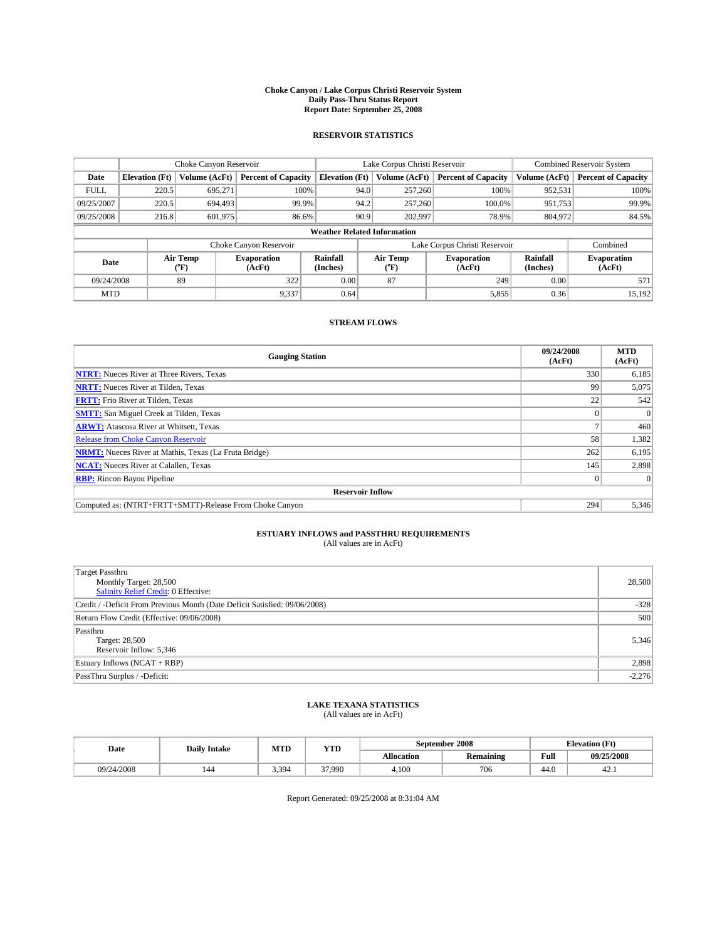#### **Choke Canyon / Lake Corpus Christi Reservoir System Daily Pass-Thru Status Report Report Date: September 25, 2008**

### **RESERVOIR STATISTICS**

|             | Choke Canyon Reservoir             |                  |                              |                       | Lake Corpus Christi Reservoir |                  |                              |                      | <b>Combined Reservoir System</b> |  |  |
|-------------|------------------------------------|------------------|------------------------------|-----------------------|-------------------------------|------------------|------------------------------|----------------------|----------------------------------|--|--|
| Date        | <b>Elevation</b> (Ft)              | Volume (AcFt)    | <b>Percent of Capacity</b>   | <b>Elevation</b> (Ft) |                               | Volume (AcFt)    | <b>Percent of Capacity</b>   | Volume (AcFt)        | <b>Percent of Capacity</b>       |  |  |
| <b>FULL</b> | 220.5                              | 695,271          | 100%                         |                       | 94.0                          | 257,260          | 100%                         | 952,531              | 100%                             |  |  |
| 09/25/2007  | 220.5                              | 694.493          | 99.9%                        |                       | 94.2                          | 257,260          | 100.0%                       | 951,753              | 99.9%                            |  |  |
| 09/25/2008  | 216.8                              | 601,975          | 86.6%                        |                       | 90.9                          | 202,997          | 78.9%                        | 804,972              | 84.5%                            |  |  |
|             | <b>Weather Related Information</b> |                  |                              |                       |                               |                  |                              |                      |                                  |  |  |
|             |                                    |                  | Choke Canyon Reservoir       |                       | Lake Corpus Christi Reservoir |                  |                              |                      | Combined                         |  |  |
| Date        |                                    | Air Temp<br>(°F) | <b>Evaporation</b><br>(AcFt) | Rainfall<br>(Inches)  |                               | Air Temp<br>("F) | <b>Evaporation</b><br>(AcFt) | Rainfall<br>(Inches) | <b>Evaporation</b><br>(AcFt)     |  |  |
| 09/24/2008  |                                    | 89               | 322                          | 0.00                  |                               | 87               | 249                          | 0.00                 | 571                              |  |  |
| <b>MTD</b>  |                                    |                  | 9,337                        | 0.64                  |                               |                  | 5,855                        | 0.36                 | 15,192                           |  |  |

### **STREAM FLOWS**

| <b>Gauging Station</b>                                       | 09/24/2008<br>(AcFt) | <b>MTD</b><br>(AcFt) |  |  |  |  |  |
|--------------------------------------------------------------|----------------------|----------------------|--|--|--|--|--|
| <b>NTRT:</b> Nueces River at Three Rivers, Texas             | 330                  | 6,185                |  |  |  |  |  |
| <b>NRTT:</b> Nueces River at Tilden, Texas                   | 99                   | 5,075                |  |  |  |  |  |
| <b>FRTT:</b> Frio River at Tilden, Texas                     | 22                   | 542                  |  |  |  |  |  |
| <b>SMTT:</b> San Miguel Creek at Tilden, Texas               |                      |                      |  |  |  |  |  |
| <b>ARWT:</b> Atascosa River at Whitsett, Texas               |                      | 460                  |  |  |  |  |  |
| <b>Release from Choke Canyon Reservoir</b>                   | 58                   | 1,382                |  |  |  |  |  |
| <b>NRMT:</b> Nueces River at Mathis, Texas (La Fruta Bridge) | 262                  | 6,195                |  |  |  |  |  |
| <b>NCAT:</b> Nueces River at Calallen, Texas                 | 145                  | 2,898                |  |  |  |  |  |
| <b>RBP:</b> Rincon Bayou Pipeline                            | $\overline{0}$       |                      |  |  |  |  |  |
| <b>Reservoir Inflow</b>                                      |                      |                      |  |  |  |  |  |
| Computed as: (NTRT+FRTT+SMTT)-Release From Choke Canyon      | 294                  | 5,346                |  |  |  |  |  |

## **ESTUARY INFLOWS and PASSTHRU REQUIREMENTS**<br>(All values are in AcFt)

| Target Passthru                                                            |          |
|----------------------------------------------------------------------------|----------|
| Monthly Target: 28,500                                                     | 28,500   |
| <b>Salinity Relief Credit: 0 Effective:</b>                                |          |
| Credit / -Deficit From Previous Month (Date Deficit Satisfied: 09/06/2008) | $-328$   |
| Return Flow Credit (Effective: 09/06/2008)                                 | 500      |
| Passthru                                                                   |          |
| Target: 28,500                                                             | 5,346    |
| Reservoir Inflow: 5,346                                                    |          |
| Estuary Inflows (NCAT + RBP)                                               | 2,898    |
| PassThru Surplus / -Deficit:                                               | $-2,276$ |

## **LAKE TEXANA STATISTICS** (All values are in AcFt)

| Date       | <b>Daily Intake</b> | MTD   | YTD    |            | September 2008   | <b>Elevation</b> (Ft) |            |
|------------|---------------------|-------|--------|------------|------------------|-----------------------|------------|
|            |                     |       |        | Allocation | <b>Remaining</b> | Full                  | 09/25/2008 |
| 09/24/2008 | 144                 | 3.394 | 37.990 | 4.100      | 706              | 44.0                  | 42.1       |

Report Generated: 09/25/2008 at 8:31:04 AM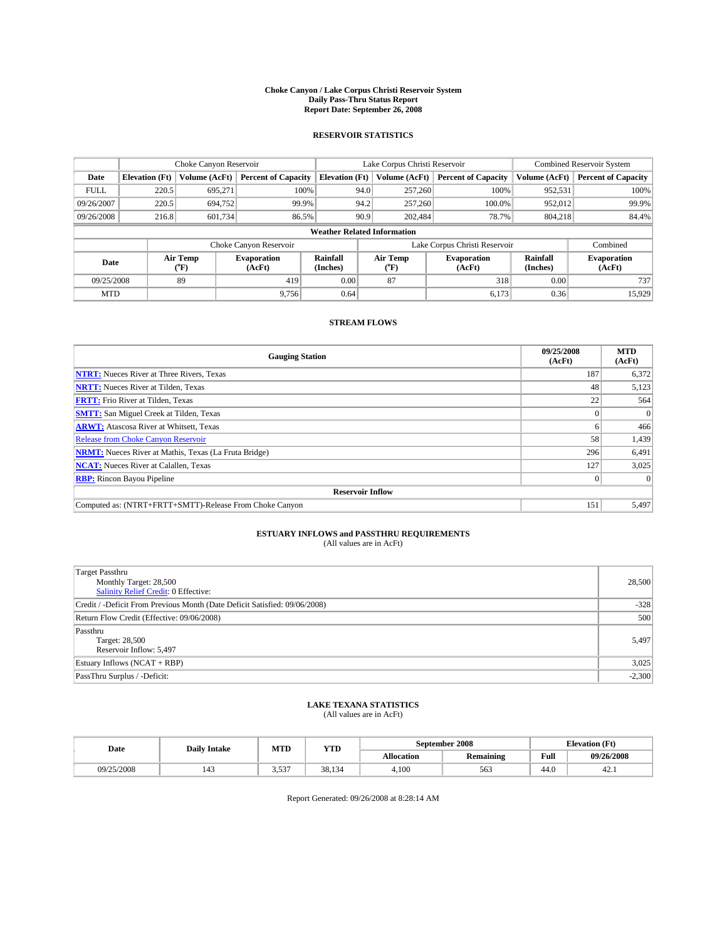#### **Choke Canyon / Lake Corpus Christi Reservoir System Daily Pass-Thru Status Report Report Date: September 26, 2008**

### **RESERVOIR STATISTICS**

|             | Choke Canyon Reservoir |                  |                              |                                    | Lake Corpus Christi Reservoir |                  |                              |                      | <b>Combined Reservoir System</b> |  |  |
|-------------|------------------------|------------------|------------------------------|------------------------------------|-------------------------------|------------------|------------------------------|----------------------|----------------------------------|--|--|
| Date        | <b>Elevation</b> (Ft)  | Volume (AcFt)    | <b>Percent of Capacity</b>   | <b>Elevation</b> (Ft)              |                               | Volume (AcFt)    | <b>Percent of Capacity</b>   | Volume (AcFt)        | <b>Percent of Capacity</b>       |  |  |
| <b>FULL</b> | 220.5                  | 695,271          | 100%                         |                                    | 94.0                          | 257,260          | 100%                         | 952,531              | 100%                             |  |  |
| 09/26/2007  | 220.5                  | 694,752          | 99.9%                        |                                    | 94.2                          | 257,260          | 100.0%                       | 952,012              | 99.9%                            |  |  |
| 09/26/2008  | 216.8                  | 601,734          | 86.5%                        |                                    | 90.9                          | 202.484          | 78.7%                        | 804.218              | 84.4%                            |  |  |
|             |                        |                  |                              | <b>Weather Related Information</b> |                               |                  |                              |                      |                                  |  |  |
|             |                        |                  | Choke Canyon Reservoir       |                                    | Lake Corpus Christi Reservoir |                  |                              |                      | Combined                         |  |  |
| Date        |                        | Air Temp<br>(°F) | <b>Evaporation</b><br>(AcFt) | Rainfall<br>(Inches)               |                               | Air Temp<br>("F) | <b>Evaporation</b><br>(AcFt) | Rainfall<br>(Inches) | <b>Evaporation</b><br>(AcFt)     |  |  |
| 09/25/2008  |                        | 89               | 419                          | 0.00                               |                               | 87               | 318                          | 0.00                 | 737                              |  |  |
| <b>MTD</b>  |                        |                  | 9,756                        | 0.64                               |                               |                  | 6,173                        | 0.36                 | 15,929                           |  |  |

### **STREAM FLOWS**

| <b>Gauging Station</b>                                       | 09/25/2008<br>(AcFt) | <b>MTD</b><br>(AcFt) |  |  |  |  |  |
|--------------------------------------------------------------|----------------------|----------------------|--|--|--|--|--|
| <b>NTRT:</b> Nueces River at Three Rivers, Texas             | 187                  | 6,372                |  |  |  |  |  |
| <b>NRTT:</b> Nueces River at Tilden, Texas                   | 48                   | 5,123                |  |  |  |  |  |
| <b>FRTT:</b> Frio River at Tilden, Texas                     | 22                   | 564                  |  |  |  |  |  |
| <b>SMTT:</b> San Miguel Creek at Tilden, Texas               |                      |                      |  |  |  |  |  |
| <b>ARWT:</b> Atascosa River at Whitsett, Texas               | <sub>0</sub>         | 466                  |  |  |  |  |  |
| <b>Release from Choke Canyon Reservoir</b>                   | 58                   | 1,439                |  |  |  |  |  |
| <b>NRMT:</b> Nueces River at Mathis, Texas (La Fruta Bridge) | 296                  | 6,491                |  |  |  |  |  |
| <b>NCAT:</b> Nueces River at Calallen, Texas                 | 127                  | 3,025                |  |  |  |  |  |
| <b>RBP:</b> Rincon Bayou Pipeline                            | $\overline{0}$       |                      |  |  |  |  |  |
| <b>Reservoir Inflow</b>                                      |                      |                      |  |  |  |  |  |
| Computed as: (NTRT+FRTT+SMTT)-Release From Choke Canyon      | 151                  | 5,497                |  |  |  |  |  |

# **ESTUARY INFLOWS and PASSTHRU REQUIREMENTS**<br>(All values are in AcFt)

| Target Passthru                                                            |          |
|----------------------------------------------------------------------------|----------|
| Monthly Target: 28,500                                                     | 28,500   |
| <b>Salinity Relief Credit: 0 Effective:</b>                                |          |
| Credit / -Deficit From Previous Month (Date Deficit Satisfied: 09/06/2008) | $-328$   |
| Return Flow Credit (Effective: 09/06/2008)                                 | 500      |
| Passthru                                                                   |          |
| Target: 28,500                                                             | 5,497    |
| Reservoir Inflow: 5,497                                                    |          |
| Estuary Inflows (NCAT + RBP)                                               | 3,025    |
| PassThru Surplus / -Deficit:                                               | $-2,300$ |

## **LAKE TEXANA STATISTICS** (All values are in AcFt)

| Date       | <b>Daily Intake</b>   | MTD             | YTD    |            | September 2008   | <b>Elevation</b> (Ft) |            |
|------------|-----------------------|-----------------|--------|------------|------------------|-----------------------|------------|
|            |                       |                 |        | Allocation | <b>Remaining</b> | Full                  | 09/26/2008 |
| 09/25/2008 | $\overline{1}$<br>143 | 527<br><u>.</u> | 38.134 | 4.100      | 563              | 44.0                  | 42.1       |

Report Generated: 09/26/2008 at 8:28:14 AM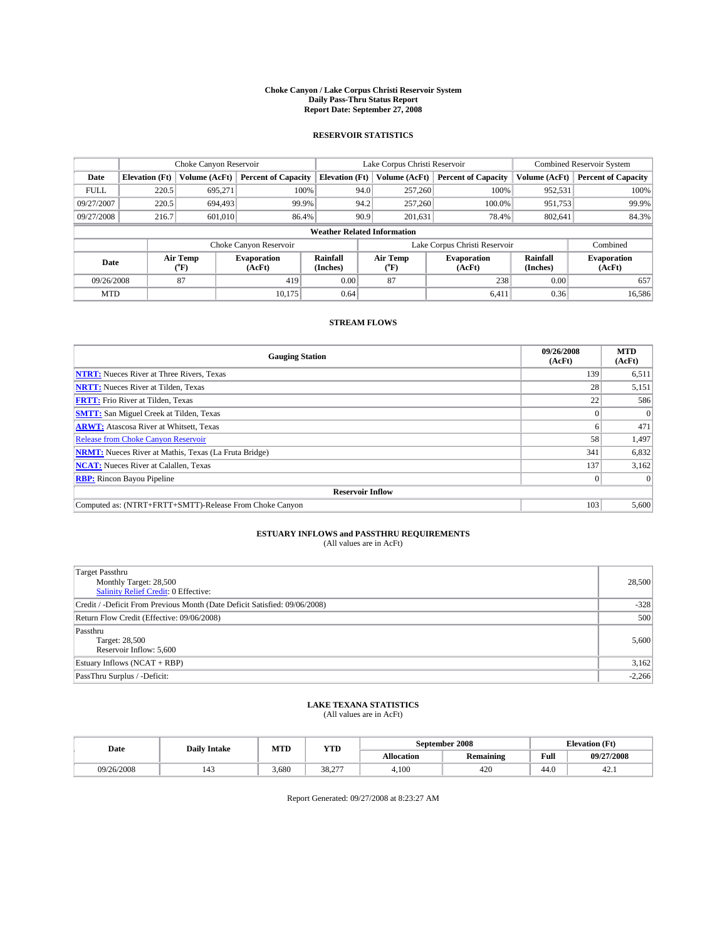#### **Choke Canyon / Lake Corpus Christi Reservoir System Daily Pass-Thru Status Report Report Date: September 27, 2008**

### **RESERVOIR STATISTICS**

|             | Choke Canyon Reservoir             |                  |                              |                       | Lake Corpus Christi Reservoir |                  |                              |                      | <b>Combined Reservoir System</b> |  |  |
|-------------|------------------------------------|------------------|------------------------------|-----------------------|-------------------------------|------------------|------------------------------|----------------------|----------------------------------|--|--|
| Date        | <b>Elevation</b> (Ft)              | Volume (AcFt)    | <b>Percent of Capacity</b>   | <b>Elevation</b> (Ft) |                               | Volume (AcFt)    | <b>Percent of Capacity</b>   | Volume (AcFt)        | <b>Percent of Capacity</b>       |  |  |
| <b>FULL</b> | 220.5                              | 695,271          | 100%                         |                       | 94.0                          | 257,260          | 100%                         | 952,531              | 100%                             |  |  |
| 09/27/2007  | 220.5                              | 694.493          | 99.9%                        |                       | 94.2                          | 257,260          | 100.0%                       | 951,753              | 99.9%                            |  |  |
| 09/27/2008  | 216.7                              | 601.010          | 86.4%                        |                       | 90.9                          | 201,631          | 78.4%                        | 802,641              | 84.3%                            |  |  |
|             | <b>Weather Related Information</b> |                  |                              |                       |                               |                  |                              |                      |                                  |  |  |
|             |                                    |                  | Choke Canyon Reservoir       |                       | Lake Corpus Christi Reservoir |                  |                              |                      | Combined                         |  |  |
| Date        |                                    | Air Temp<br>(°F) | <b>Evaporation</b><br>(AcFt) | Rainfall<br>(Inches)  |                               | Air Temp<br>("F) | <b>Evaporation</b><br>(AcFt) | Rainfall<br>(Inches) | <b>Evaporation</b><br>(AcFt)     |  |  |
| 09/26/2008  |                                    | 87               | 419                          | 0.00                  |                               | 87               | 238                          | 0.00                 | 657                              |  |  |
| <b>MTD</b>  |                                    |                  | 10.175                       | 0.64                  |                               |                  | 6,411                        | 0.36                 | 16,586                           |  |  |

### **STREAM FLOWS**

| <b>Gauging Station</b>                                       | 09/26/2008<br>(AcFt) | <b>MTD</b><br>(AcFt) |  |  |  |  |  |
|--------------------------------------------------------------|----------------------|----------------------|--|--|--|--|--|
| <b>NTRT:</b> Nueces River at Three Rivers, Texas             | 139                  | 6,511                |  |  |  |  |  |
| <b>NRTT:</b> Nueces River at Tilden, Texas                   | 28 <sub>1</sub>      | 5,151                |  |  |  |  |  |
| <b>FRTT:</b> Frio River at Tilden, Texas                     | 22                   | 586                  |  |  |  |  |  |
| <b>SMTT:</b> San Miguel Creek at Tilden, Texas               |                      |                      |  |  |  |  |  |
| <b>ARWT:</b> Atascosa River at Whitsett, Texas               | h.                   | 471                  |  |  |  |  |  |
| <b>Release from Choke Canyon Reservoir</b>                   | 58                   | 1,497                |  |  |  |  |  |
| <b>NRMT:</b> Nueces River at Mathis, Texas (La Fruta Bridge) | 341                  | 6,832                |  |  |  |  |  |
| <b>NCAT:</b> Nueces River at Calallen, Texas                 | 137                  | 3,162                |  |  |  |  |  |
| <b>RBP:</b> Rincon Bayou Pipeline                            | $\vert 0 \vert$      |                      |  |  |  |  |  |
| <b>Reservoir Inflow</b>                                      |                      |                      |  |  |  |  |  |
| Computed as: (NTRT+FRTT+SMTT)-Release From Choke Canyon      | 103                  | 5,600                |  |  |  |  |  |

# **ESTUARY INFLOWS and PASSTHRU REQUIREMENTS**<br>(All values are in AcFt)

| <b>Target Passthru</b><br>Monthly Target: 28,500<br><b>Salinity Relief Credit: 0 Effective:</b> | 28,500   |
|-------------------------------------------------------------------------------------------------|----------|
| Credit / -Deficit From Previous Month (Date Deficit Satisfied: 09/06/2008)                      | $-328$   |
| Return Flow Credit (Effective: 09/06/2008)                                                      | 500      |
| Passthru<br>Target: 28,500<br>Reservoir Inflow: 5,600                                           | 5,600    |
| Estuary Inflows (NCAT + RBP)                                                                    | 3,162    |
| PassThru Surplus / -Deficit:                                                                    | $-2,266$ |

# **LAKE TEXANA STATISTICS** (All values are in AcFt)

| Date       | <b>Daily Intake</b> | MTD   | <b>YTD</b> |            | September 2008 | <b>Elevation</b> (Ft) |            |
|------------|---------------------|-------|------------|------------|----------------|-----------------------|------------|
|            |                     |       |            | Allocation | Remaining      | Full                  | 09/27/2008 |
| 09/26/2008 |                     | 3.680 | 38,277     | 4.100      | 420            | 44.0                  | 42.1       |

Report Generated: 09/27/2008 at 8:23:27 AM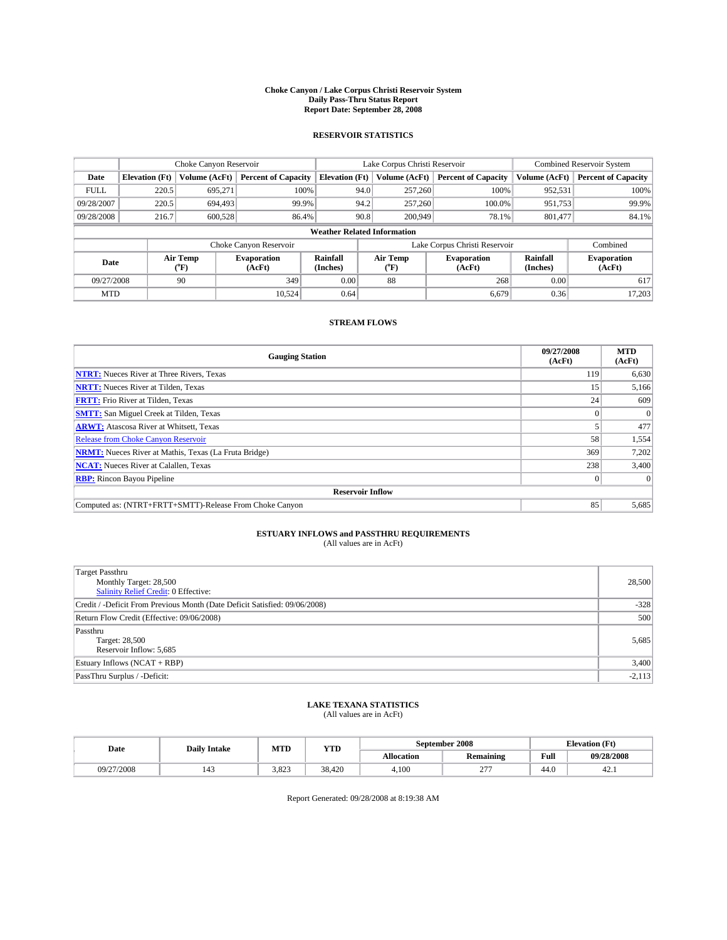#### **Choke Canyon / Lake Corpus Christi Reservoir System Daily Pass-Thru Status Report Report Date: September 28, 2008**

### **RESERVOIR STATISTICS**

|             | Choke Canyon Reservoir             |               |                              |                       | Lake Corpus Christi Reservoir |                  |                              |                      | <b>Combined Reservoir System</b> |  |  |
|-------------|------------------------------------|---------------|------------------------------|-----------------------|-------------------------------|------------------|------------------------------|----------------------|----------------------------------|--|--|
| Date        | <b>Elevation</b> (Ft)              | Volume (AcFt) | <b>Percent of Capacity</b>   | <b>Elevation</b> (Ft) |                               | Volume (AcFt)    | <b>Percent of Capacity</b>   | Volume (AcFt)        | <b>Percent of Capacity</b>       |  |  |
| <b>FULL</b> | 220.5                              | 695,271       | 100%                         |                       | 94.0                          | 257,260          | 100%                         | 952,531              | 100%                             |  |  |
| 09/28/2007  | 220.5                              | 694.493       | 99.9%                        |                       | 94.2                          | 257,260          | 100.0%                       | 951,753              | 99.9%                            |  |  |
| 09/28/2008  | 216.7                              | 600,528       | 86.4%                        |                       | 90.8                          | 200,949          | 78.1%                        | 801,477              | 84.1%                            |  |  |
|             | <b>Weather Related Information</b> |               |                              |                       |                               |                  |                              |                      |                                  |  |  |
|             |                                    |               | Choke Canyon Reservoir       |                       | Lake Corpus Christi Reservoir |                  |                              |                      | Combined                         |  |  |
|             | Air Temp<br>Date<br>(°F)           |               | <b>Evaporation</b><br>(AcFt) | Rainfall<br>(Inches)  |                               | Air Temp<br>("F) | <b>Evaporation</b><br>(AcFt) | Rainfall<br>(Inches) | <b>Evaporation</b><br>(AcFt)     |  |  |
| 09/27/2008  |                                    | 90            | 349                          | 0.00                  |                               | 88               | 268                          | 0.00                 | 617                              |  |  |
| <b>MTD</b>  |                                    |               | 10.524                       | 0.64                  |                               |                  | 6.679                        | 0.36                 | 17,203                           |  |  |

### **STREAM FLOWS**

| <b>Gauging Station</b>                                       | 09/27/2008<br>(AcFt) | <b>MTD</b><br>(AcFt) |  |  |  |  |  |
|--------------------------------------------------------------|----------------------|----------------------|--|--|--|--|--|
| <b>NTRT:</b> Nueces River at Three Rivers, Texas             | 119                  | 6,630                |  |  |  |  |  |
| <b>NRTT:</b> Nueces River at Tilden, Texas                   | 15                   | 5,166                |  |  |  |  |  |
| <b>FRTT:</b> Frio River at Tilden, Texas                     | 24 <sub>1</sub>      | 609                  |  |  |  |  |  |
| <b>SMTT:</b> San Miguel Creek at Tilden, Texas               |                      |                      |  |  |  |  |  |
| <b>ARWT:</b> Atascosa River at Whitsett, Texas               |                      | 477                  |  |  |  |  |  |
| <b>Release from Choke Canyon Reservoir</b>                   | 58                   | 1,554                |  |  |  |  |  |
| <b>NRMT:</b> Nueces River at Mathis, Texas (La Fruta Bridge) | 369                  | 7,202                |  |  |  |  |  |
| <b>NCAT:</b> Nueces River at Calallen, Texas                 | 238                  | 3,400                |  |  |  |  |  |
| <b>RBP:</b> Rincon Bayou Pipeline                            | $\theta$             |                      |  |  |  |  |  |
| <b>Reservoir Inflow</b>                                      |                      |                      |  |  |  |  |  |
| Computed as: (NTRT+FRTT+SMTT)-Release From Choke Canyon      | 85                   | 5,685                |  |  |  |  |  |

# **ESTUARY INFLOWS and PASSTHRU REQUIREMENTS**<br>(All values are in AcFt)

| <b>Target Passthru</b><br>Monthly Target: 28,500<br><b>Salinity Relief Credit: 0 Effective:</b> | 28,500   |
|-------------------------------------------------------------------------------------------------|----------|
| Credit / -Deficit From Previous Month (Date Deficit Satisfied: 09/06/2008)                      | $-328$   |
| Return Flow Credit (Effective: 09/06/2008)                                                      | 500      |
| Passthru<br>Target: 28,500<br>Reservoir Inflow: 5,685                                           | 5,685    |
| Estuary Inflows (NCAT + RBP)                                                                    | 3,400    |
| PassThru Surplus / -Deficit:                                                                    | $-2,113$ |

## **LAKE TEXANA STATISTICS** (All values are in AcFt)

| Date       | <b>Daily Intake</b> | MTD   | YTD    |            | September 2008            | <b>Elevation</b> (Ft) |            |
|------------|---------------------|-------|--------|------------|---------------------------|-----------------------|------------|
|            |                     |       |        | Allocation | <b>Remaining</b>          | Full                  | 09/28/2008 |
| 09/27/2008 | $\overline{1}$      | 3.823 | 38.420 | 4.100      | $\sim$ $\sim$<br><u>_</u> | 44.0                  | 42.1       |

Report Generated: 09/28/2008 at 8:19:38 AM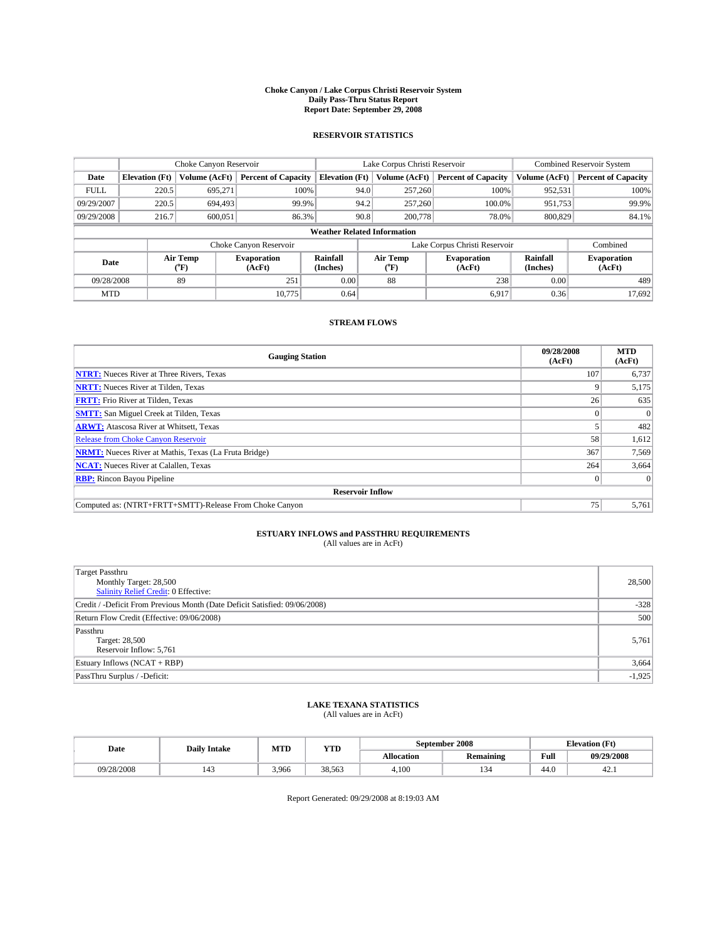#### **Choke Canyon / Lake Corpus Christi Reservoir System Daily Pass-Thru Status Report Report Date: September 29, 2008**

### **RESERVOIR STATISTICS**

|             | Choke Canyon Reservoir             |               | Lake Corpus Christi Reservoir |                       |                               |                  | <b>Combined Reservoir System</b> |                      |                              |
|-------------|------------------------------------|---------------|-------------------------------|-----------------------|-------------------------------|------------------|----------------------------------|----------------------|------------------------------|
| Date        | <b>Elevation</b> (Ft)              | Volume (AcFt) | <b>Percent of Capacity</b>    | <b>Elevation</b> (Ft) |                               | Volume (AcFt)    | <b>Percent of Capacity</b>       | Volume (AcFt)        | <b>Percent of Capacity</b>   |
| <b>FULL</b> | 220.5                              | 695,271       | 100%                          |                       | 94.0                          | 257,260          | 100%                             | 952,531              | 100%                         |
| 09/29/2007  | 220.5                              | 694.493       | 99.9%                         |                       | 94.2                          | 257,260          | 100.0%                           | 951,753              | 99.9%                        |
| 09/29/2008  | 216.7                              | 600,051       | 86.3%                         |                       | 90.8                          | 200,778          | 78.0%                            | 800,829              | 84.1%                        |
|             | <b>Weather Related Information</b> |               |                               |                       |                               |                  |                                  |                      |                              |
|             |                                    |               | Choke Canyon Reservoir        |                       | Lake Corpus Christi Reservoir |                  |                                  |                      | Combined                     |
|             | Air Temp<br>Date<br>(°F)           |               | <b>Evaporation</b><br>(AcFt)  | Rainfall<br>(Inches)  |                               | Air Temp<br>("F) | <b>Evaporation</b><br>(AcFt)     | Rainfall<br>(Inches) | <b>Evaporation</b><br>(AcFt) |
| 09/28/2008  |                                    | 89            | 251                           | 0.00                  |                               | 88               | 238                              | 0.00                 | 489                          |
| <b>MTD</b>  |                                    |               | 10.775                        | 0.64                  |                               |                  | 6,917                            | 0.36                 | 17,692                       |

### **STREAM FLOWS**

| <b>Gauging Station</b>                                       | 09/28/2008<br>(AcFt) | <b>MTD</b><br>(AcFt) |
|--------------------------------------------------------------|----------------------|----------------------|
| <b>NTRT:</b> Nueces River at Three Rivers, Texas             | 107                  | 6,737                |
| <b>NRTT:</b> Nueces River at Tilden, Texas                   |                      | 5,175                |
| <b>FRTT:</b> Frio River at Tilden, Texas                     | 26                   | 635                  |
| <b>SMTT:</b> San Miguel Creek at Tilden, Texas               |                      |                      |
| <b>ARWT:</b> Atascosa River at Whitsett, Texas               |                      | 482                  |
| Release from Choke Canyon Reservoir                          | 58                   | 1,612                |
| <b>NRMT:</b> Nueces River at Mathis, Texas (La Fruta Bridge) | 367                  | 7,569                |
| <b>NCAT:</b> Nueces River at Calallen, Texas                 | 264                  | 3,664                |
| <b>RBP:</b> Rincon Bayou Pipeline                            | $\overline{0}$       |                      |
| <b>Reservoir Inflow</b>                                      |                      |                      |
| Computed as: (NTRT+FRTT+SMTT)-Release From Choke Canyon      | 75                   | 5,761                |

# **ESTUARY INFLOWS and PASSTHRU REQUIREMENTS**<br>(All values are in AcFt)

| Target Passthru                                                            | 28,500   |
|----------------------------------------------------------------------------|----------|
|                                                                            |          |
| Monthly Target: 28,500                                                     |          |
| <b>Salinity Relief Credit: 0 Effective:</b>                                |          |
| Credit / -Deficit From Previous Month (Date Deficit Satisfied: 09/06/2008) | $-328$   |
| Return Flow Credit (Effective: 09/06/2008)                                 | 500      |
| Passthru                                                                   |          |
| Target: 28,500                                                             | 5,761    |
| Reservoir Inflow: 5,761                                                    |          |
| Estuary Inflows (NCAT + RBP)                                               | 3,664    |
| PassThru Surplus / -Deficit:                                               | $-1,925$ |

## **LAKE TEXANA STATISTICS** (All values are in AcFt)

| Date       | <b>Daily Intake</b> | MTD   | YTD    |            | September 2008   | <b>Elevation</b> (Ft) |            |
|------------|---------------------|-------|--------|------------|------------------|-----------------------|------------|
|            |                     |       |        | Allocation | <b>Remaining</b> | Full                  | 09/29/2008 |
| 09/28/2008 | $\overline{1}$      | 3.966 | 38.563 | 4.100      | 134              | 44.0                  | 42.1       |

Report Generated: 09/29/2008 at 8:19:03 AM